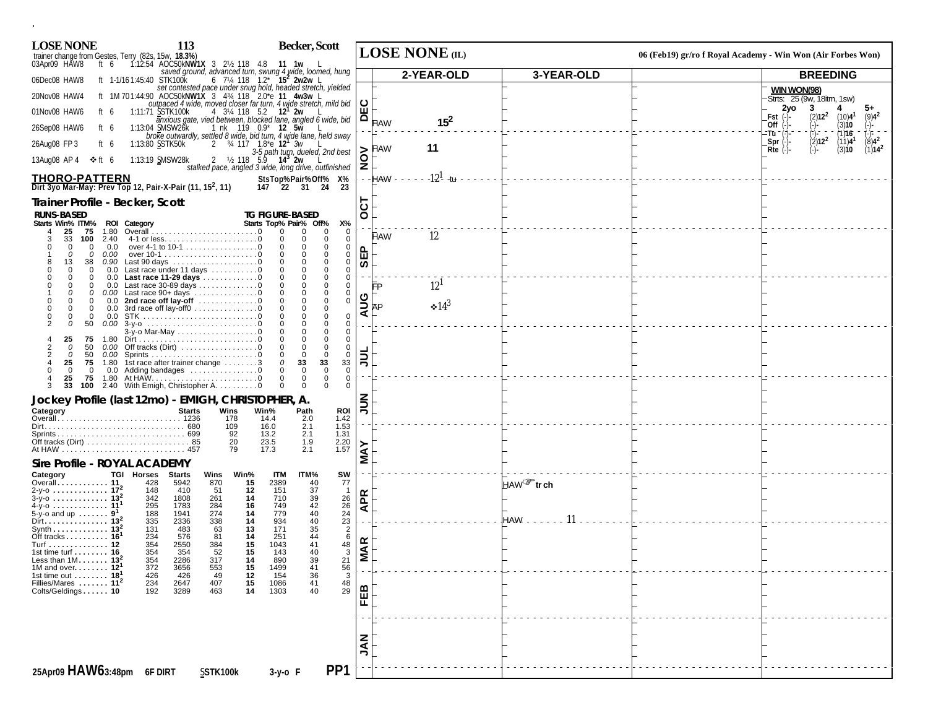| <b>LOSE NONE</b>                                                                                                                 | 113                                                                               |                                     | Becker, Scott                                                                                                                                                                       |                                                  |                     | <b>LOSE NONE</b> (IL)           |                       | 06 (Feb19) gr/ro f Royal Academy - Win Won (Air Forbes Won)                                  |  |
|----------------------------------------------------------------------------------------------------------------------------------|-----------------------------------------------------------------------------------|-------------------------------------|-------------------------------------------------------------------------------------------------------------------------------------------------------------------------------------|--------------------------------------------------|---------------------|---------------------------------|-----------------------|----------------------------------------------------------------------------------------------|--|
| trainer change from Gestes, Terry (82s, 15w, 18.3%)<br>03Apr09 HAW8 ft 6 1:12:54 AOC50kNW1X 3 2½ 118 4.8 11 1w L<br>03Apr09 HAW8 |                                                                                   |                                     | saved ground, advanced turn, swung 4 wide, loomed, hung                                                                                                                             |                                                  |                     | 2-YEAR-OLD                      | 3-YEAR-OLD            | <b>BREEDING</b>                                                                              |  |
| 06Dec08 HAW8                                                                                                                     |                                                                                   |                                     | ft 1-1/161:45:40 STK100K 6 7/4 118 1.2 15 <sup>2</sup> 2w2w L<br>set contested pace under snug hold, headed stretch, yielded<br>ft 1M 701:44:90 AOC50kNW1X 3 4% 118 2.0 e 11 4w3w L |                                                  |                     |                                 |                       | <b>WIN WON(98)</b>                                                                           |  |
| 20Nov08 HAW4                                                                                                                     |                                                                                   |                                     | outpaced 4 wide, moved closer far turn, 4 wide stretch, mild bid $\bigcup_{71}$ SSTK100k $\bigcup_{4}$ 31/4 118 52 12 <sup>1</sup> 2w 1                                             |                                                  |                     |                                 |                       | Strts: 25 (9w, 18itm, 1sw)                                                                   |  |
| 01Nov08 HAW6<br>ft 6                                                                                                             | 1:11:71 SSTK100k                                                                  |                                     | 4 3\/4 118 5.2 12 <sup>1</sup> 2w<br>$\overline{a}$ nxious gate, vied between, blocked lane, angled $\overline{b}$ wide, bid                                                        |                                                  |                     | $15^2$<br><b>HAW</b>            |                       | 2vo<br>3<br>(2)12 <sup>2</sup><br>Fst<br>(10)4 <sup>1</sup><br>$(9)4^2$                      |  |
| 26Sep08 HAW6<br>ft 6                                                                                                             | 1:13:04 SMSW26k                                                                   |                                     | 1 nk 119 0.9* 12 5w<br>broke outwardly, settled 8 wide, bid turn, 4 wide lane, held sway                                                                                            |                                                  |                     |                                 |                       | (3)10<br>Off $(-)$<br>$\binom{1}{2}$ = $\binom{2}{2}$ 12 <sup>2</sup><br>(1)16<br>:Tū 1      |  |
| 26Aug08 FP 3<br>ft 6                                                                                                             | 1:13:80 SSTK50k                                                                   |                                     | 2 34 117 1.8 <sup>*</sup> e <b>12</b> 3w<br>3-5 path turn, dueled, 2nd best                                                                                                         |                                                  | $\delta$ FAW        | 11                              |                       | $(8)4^2$<br>$(11)4$ <sup>1</sup><br>$Spr$ $(-)$<br>(3)10<br>$(1)14^2$<br>$Rte$ $(-)$<br>(-)- |  |
| 13Aug08 AP 4<br>❖ ft 6                                                                                                           | 1:13:19 SMSW28k                                                                   |                                     | 2 $\frac{1}{2}$ 118 5.9 14 <sup>3</sup> 2w<br>stalked pace, angled $\tilde{s}$ wide, long drive, outfinished $ \mathbf{\Sigma} $                                                    |                                                  |                     |                                 |                       |                                                                                              |  |
| <b>THORO-PATTERN</b><br>Dirt 3yo Mar-May: Prev Top 12, Pair-X-Pair (11, 15 <sup>2</sup> , 11)                                    |                                                                                   |                                     | StsTop%Pair%Off% X%<br>147 22 31 24                                                                                                                                                 | -23                                              |                     | $-12^{1}$ -tu<br><b>HAW - -</b> |                       |                                                                                              |  |
| Trainer Profile - Becker, Scott                                                                                                  |                                                                                   |                                     |                                                                                                                                                                                     |                                                  |                     |                                 |                       |                                                                                              |  |
| <b>RUNS-BASED</b>                                                                                                                |                                                                                   |                                     | <b>TG FIGURE-BASED</b>                                                                                                                                                              |                                                  | ငွ                  |                                 |                       |                                                                                              |  |
| Starts Win% ITM% ROI Category<br>25<br>75<br>1.80<br>33<br>100<br>2.40                                                           |                                                                                   |                                     | Starts Top% Pair% Off%<br>$\Omega$<br>0<br>0<br>$\Omega$<br>$\Omega$<br>$\Omega$                                                                                                    | Х%<br>$\mathbf 0$<br>$\Omega$                    |                     | 12<br><b>HAW</b>                |                       |                                                                                              |  |
| $\Omega$<br>0.0<br>$\mathbf 0$<br>$\Omega$<br>0.00                                                                               | over 4-1 to 10-1 0                                                                |                                     | $\mathbf 0$<br>$\Omega$<br>$\Omega$                                                                                                                                                 | 0<br>0                                           | Δ.                  |                                 |                       |                                                                                              |  |
| 13<br>38<br>0.90<br>$\Omega$<br>$\mathbf 0$<br>0.0                                                                               |                                                                                   |                                     | $\Omega$<br>$\Omega$<br>$\Omega$<br>$\mathbf{0}$<br>$\Omega$<br>0                                                                                                                   | 0<br>$\mathbf 0$                                 | 面<br>$\overline{v}$ |                                 |                       |                                                                                              |  |
| 0.0<br>$\Omega$<br>$\Omega$<br>$\Omega$<br>$\Omega$                                                                              | Last race under 11 days 0<br>Last race 11-29 days 0<br>0.0 Last race 30-89 days 0 |                                     | 0<br>$\Omega$<br>$\Omega$<br>$\mathbf 0$<br>$\Omega$<br>$\Omega$                                                                                                                    | $\mathbf 0$<br>$\Omega$                          |                     | $12^{1}$                        |                       |                                                                                              |  |
| 0<br>$\Omega$<br>0.0                                                                                                             | 0.00 Last race 90+ days 0<br>2nd race off lay-off 0                               |                                     | $\mathbf 0$<br>$\Omega$<br>$\Omega$<br>0<br>$\mathbf 0$<br>$\Omega$                                                                                                                 | $\Omega$<br>$\mathbf 0$                          | פ                   |                                 |                       |                                                                                              |  |
| $\mathbf 0$<br>0.0<br>$\Omega$<br>$\Omega$<br>0.0                                                                                | 3rd race off lay-off0 0                                                           |                                     | $\mathbf{0}$<br>$\mathbf 0$<br>$\mathbf{0}$<br>$\Omega$<br>$\Omega$<br>$\Omega$                                                                                                     | $\Omega$                                         | ∢                   | $\cdot 14^3$                    |                       |                                                                                              |  |
| $\Omega$<br>50<br>0.00                                                                                                           | 3-y-o Mar-May 0                                                                   |                                     | $\Omega$<br>$\Omega$<br>$\Omega$<br>$\mathbf 0$<br>$\Omega$<br>$\Omega$                                                                                                             | $\Omega$<br>$\mathbf 0$                          |                     |                                 |                       |                                                                                              |  |
| 25<br>75<br>$\Omega$<br>50<br>0.00                                                                                               | Off tracks (Dirt) $\dots \dots \dots \dots \dots \dots$                           |                                     | $\Omega$<br>$\Omega$<br>$\Omega$                                                                                                                                                    | $\Omega$<br>$\mathbf 0$                          |                     |                                 |                       |                                                                                              |  |
| 50<br>$\Omega$<br>25<br>75                                                                                                       | 1.80 1st race after trainer change 3                                              |                                     | $\overline{0}$<br>$\Omega$<br>$\Omega$<br>33<br>$\Omega$<br>33                                                                                                                      | $\mathbf 0$<br>33                                | $\bar{=}$           |                                 |                       |                                                                                              |  |
| 0<br>0<br>75<br>25<br>1.80                                                                                                       | 0.0 Adding bandages 0                                                             |                                     | $\Omega$<br>$\Omega$<br>$\Omega$<br>$\Omega$<br>$\Omega$                                                                                                                            | $\mathbf 0$<br>$\mathbf 0$                       |                     |                                 |                       |                                                                                              |  |
| 100<br>Jockey Profile (last 12mo) - EMIGH, CHRISTOPHER, A.                                                                       | 2.40 With Emigh, Christopher A. 0                                                 |                                     | 0<br>$\Omega$                                                                                                                                                                       | $\Omega$                                         |                     |                                 |                       |                                                                                              |  |
| Category                                                                                                                         | <b>Starts</b>                                                                     | Wins                                | Win%<br>Path                                                                                                                                                                        | ROI                                              | ミミ                  |                                 |                       |                                                                                              |  |
|                                                                                                                                  |                                                                                   | 178<br>109                          | 14.4<br>2.0<br>2.1<br>16.0                                                                                                                                                          | 1.42<br>1.53                                     |                     |                                 |                       |                                                                                              |  |
|                                                                                                                                  |                                                                                   | 92<br>20                            | 13.2<br>2.1<br>23.5<br>1.9                                                                                                                                                          | 1.31<br>2.20                                     |                     |                                 |                       |                                                                                              |  |
| Sire Profile - ROYAL ACADEMY                                                                                                     |                                                                                   | 79                                  | 17.3<br>2.1                                                                                                                                                                         | 1.57                                             | <b>MAY</b>          |                                 |                       |                                                                                              |  |
| Category                                                                                                                         | TGI Horses Starts                                                                 | Wins<br>Win%                        | ITM<br>ITM%                                                                                                                                                                         | SW                                               |                     |                                 |                       |                                                                                              |  |
| Overall 11<br>2-y-o  17 <sup>2</sup><br>$3-y-0$ 13 <sup>2</sup>                                                                  | 428<br>5942<br>148<br>410<br>342<br>1808                                          | 15<br>870<br>12<br>-51<br>261<br>14 | 2389<br>$\frac{40}{37}$<br>151<br>710<br>39                                                                                                                                         | 77<br>$\mathbf{1}$                               |                     |                                 | HAW <sup>T</sup> trch |                                                                                              |  |
| 4-y-o  11 <sup>1</sup><br>5-y-o and up $\dots \dots$ 9 <sup>1</sup>                                                              | 295<br>1783<br>188<br>1941                                                        | 284<br>16<br>274<br>14              | $^{42}_{40}$<br>749<br>779                                                                                                                                                          | $\frac{26}{26}$                                  | <b>APR</b>          |                                 |                       |                                                                                              |  |
| Dirt. 13 <sup>2</sup><br>Synth $\ldots \ldots \ldots \ldots$ 13 <sup>2</sup>                                                     | 335<br>2336<br>131<br>483                                                         | 338<br>14<br>13<br>63               | 934<br>40<br>35<br>171                                                                                                                                                              | $\frac{23}{2}$                                   | a.                  |                                 | HAW.                  |                                                                                              |  |
| Off tracks $\ldots \ldots \ldots$ 16 <sup>1</sup><br>Turf 12                                                                     | 234<br>576<br>354<br>2550                                                         | 81<br>14<br>15<br>384               | 251<br>44<br>41<br>1043                                                                                                                                                             | 6                                                |                     |                                 |                       |                                                                                              |  |
| 1st time turf $\dots \dots$ 16<br>Less than $1M$ 13 <sup>2</sup>                                                                 | 354<br>354<br>354<br>2286                                                         | 52<br>15<br>317<br>14               | 40<br>143<br>890<br>39                                                                                                                                                              | $\begin{array}{c}\n 48 \\ 3\n \end{array}$<br>21 | <b>MAR</b>          |                                 |                       |                                                                                              |  |
| 1M and over 12<br>1st time out $\dots \dots$ 18 <sup>1</sup>                                                                     | 372<br>3656<br>426<br>426                                                         | 553<br>15<br>49                     | 1499<br>$\frac{41}{36}$<br>154                                                                                                                                                      |                                                  |                     |                                 |                       |                                                                                              |  |
| Fillies/Mares  11 <sup>2</sup><br>Colts/Geldings 10                                                                              | 234<br>2647<br>3289<br>192                                                        | $\frac{12}{15}$<br>14<br>407<br>463 | 1086<br>1303<br>41<br>40                                                                                                                                                            | 56<br>3<br>48<br>29                              |                     |                                 |                       |                                                                                              |  |
|                                                                                                                                  |                                                                                   |                                     |                                                                                                                                                                                     |                                                  | FEB                 |                                 |                       |                                                                                              |  |
|                                                                                                                                  |                                                                                   |                                     |                                                                                                                                                                                     |                                                  |                     |                                 |                       |                                                                                              |  |
|                                                                                                                                  |                                                                                   |                                     |                                                                                                                                                                                     |                                                  |                     |                                 |                       |                                                                                              |  |
|                                                                                                                                  |                                                                                   |                                     |                                                                                                                                                                                     |                                                  | <b>NAL</b>          |                                 |                       |                                                                                              |  |
| 25Apr09 HAW63:48pm 6F DIRT                                                                                                       |                                                                                   | SSTK100k                            | 3-y-o F                                                                                                                                                                             | PP <sub>1</sub>                                  |                     |                                 |                       |                                                                                              |  |
|                                                                                                                                  |                                                                                   |                                     |                                                                                                                                                                                     |                                                  |                     |                                 |                       |                                                                                              |  |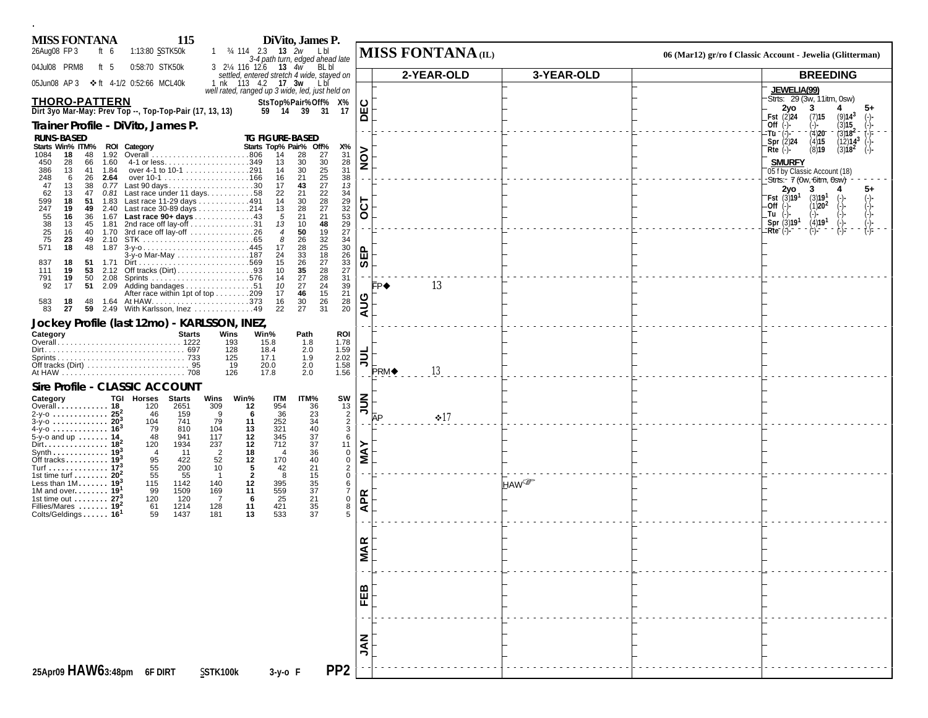| <b>MISS FONTANA</b>                                                              | 115                                                                              |                                         | DiVito, James P.                                                                              |                                  |      |                   |                        |                                                                                                                 |
|----------------------------------------------------------------------------------|----------------------------------------------------------------------------------|-----------------------------------------|-----------------------------------------------------------------------------------------------|----------------------------------|------|-------------------|------------------------|-----------------------------------------------------------------------------------------------------------------|
| 26Aug08 FP 3<br>ft $6$<br>04Jul08 PRM8<br>ft $5$                                 | 1:13:80 SSTK50k<br>0:58:70 STK50k                                                | 1 34 114 2.3 <b>13</b> 2w               | Lbl<br>3-4 path turn, edged ahead late<br>3 21/4 116 12.6 13 4w BL bl                         |                                  |      | MISS FONTANA (IL) |                        | 06 (Mar12) gr/ro f Classic Account - Jewelia (Glitterman)                                                       |
| 05Jun08 AP 3                                                                     | ❖ft 4-1/2 0:52:66 MCL40k                                                         |                                         | settled, entered stretch 4 wide, stayed on<br>1 nk 113 4.2 <b>17 3w</b> Lbi                   |                                  |      | 2-YEAR-OLD        | 3-YEAR-OLD             | <b>BREEDING</b>                                                                                                 |
|                                                                                  |                                                                                  |                                         | well rated, ranged up 3 wide, led, just held on                                               |                                  |      |                   |                        | <b>JEWELIA(99)</b><br>Strts: 29 (3w, 11itm, 0sw)                                                                |
| <b>THORO-PATTERN</b><br>Dirt 3yo Mar-May: Prev Top --, Top-Top-Pair (17, 13, 13) |                                                                                  |                                         | StsTop%Pair%Off% X%<br>59 14 39 31<br>17                                                      | <b>DEC</b>                       |      |                   |                        | 2yo<br>3<br>4                                                                                                   |
| Trainer Profile - DiVito, James P.                                               |                                                                                  |                                         |                                                                                               |                                  |      |                   |                        | <b>Fst</b> $(2)24$<br>(7)15<br>(9)14 <sup>3</sup><br>(3)15<br>Off $(-)$<br>(-)-                                 |
| <b>RUNS-BASED</b><br>Starts Win% ITM% ROI Category                               |                                                                                  |                                         | <b>TG FIGURE-BASED</b><br>Starts Top% Pair% Off%<br>Х%                                        |                                  |      |                   |                        | $Tu^-(1)$ -<br>(4)20<br>$(3)18^2$<br>Spr $(2)$ 24<br>(4)15<br>$(12)14^{3}$                                      |
| 1084<br>18<br>48<br>1.92<br>450<br>28<br>66<br>1.60                              |                                                                                  |                                         | 31<br>14<br>28<br>27<br>13<br>30                                                              | NON                              |      |                   |                        | (8)19<br>$Rte$ (-)-<br>$(3)18^2$<br><b>SMURFY</b>                                                               |
| 386<br>13<br>41 1.84<br>248<br>6<br>26<br>2.64                                   | over 4-1 to 10-1 291                                                             |                                         | 30<br>14<br>21<br>16                                                                          | $\frac{28}{31}$<br>38            |      |                   |                        | 05 f by Classic Account (18)                                                                                    |
| 47<br>13<br>38<br>0.77<br>62<br>13<br>47                                         | Last 90 days30<br>$0.81$ Last race under 11 days. 58                             |                                         | 30<br>25<br>25<br>27<br>22<br>43<br>17<br>22<br>21                                            | 13<br>34                         |      |                   |                        | -Strts:- 7 (0w, 6itm, 0sw)<br>2vo<br>3                                                                          |
| 599<br>18<br>51<br>1.83<br>247<br>19<br>49                                       | Last race 11-29 days 491<br>2.40 Last race 30-89 days 214                        |                                         | 30<br>28<br>14<br>27<br>28<br>13                                                              | <b>T3O</b>                       |      |                   |                        | $-Fst$ (3)19 <sup>1</sup> (3)19 <sup>1</sup><br>$(-)$<br>(-)<br>(-)<br>(-)<br>(1)20 <sup>2</sup><br>$-Off(-)$ - |
| 16<br>36<br>13<br>45 1.81                                                        | 1.67 Last race 90+ days 43<br>2nd race off lay-off $\dots\dots\dots\dots\dots31$ |                                         | 21<br>21<br>5<br>10<br>48<br>13                                                               | 29<br>32<br>53<br>29<br>27       |      |                   |                        | Tu (-)<br>Spr(3)19 <sup>1</sup><br>(4)19 <sup>1</sup>                                                           |
| 55<br>38<br>25<br>75<br>16<br>40 1.70<br>23<br>49 2.10                           | 3rd race off lay-off 26                                                          |                                         | 19<br>50<br>$\overline{4}$<br>32<br>8<br>26                                                   | 34                               |      |                   |                        | $( = ) -$<br>$Rte^{-}$ (-)-                                                                                     |
| 571<br>18                                                                        | 48 1.87 3-y-o445<br>3-y-o Mar-May 187                                            |                                         | $\frac{25}{18}$<br>28<br>17<br>33<br>24                                                       | 30<br>읎<br>$\overline{26}$       |      |                   |                        |                                                                                                                 |
| 18<br>837<br>51 1.71<br>111<br>19                                                |                                                                                  |                                         | $\substack{27 \\ 28}$<br>15<br>$\frac{26}{35}$<br>10                                          | $\frac{33}{27}$<br>ဖာ            |      |                   |                        |                                                                                                                 |
| 791<br>19<br>50<br>92<br>2.09<br>17<br>51                                        | 2.08 Sprints 576<br>Adding bandages 51                                           |                                         | 27<br>28<br>14<br>24<br>27<br>10                                                              | 31<br>$\frac{39}{21}$            | FP◆  | 13                |                        |                                                                                                                 |
| 583<br>18<br>48                                                                  | After race within 1pt of top 209                                                 |                                         | 15<br>46<br>17<br>$\frac{26}{31}$<br>$\substack{28 \\ 20}$<br>30<br>16                        | AUG                              |      |                   |                        |                                                                                                                 |
| 83<br>27                                                                         | 59 2.49 With Karlsson, Inez 49                                                   |                                         | 27<br>22                                                                                      |                                  |      |                   |                        |                                                                                                                 |
| Jockey Profile (last 12mo) - KARLSSON, INEZ,<br>Category                         | <b>Starts</b>                                                                    | Wins                                    | Win%<br>Path<br><b>ROI</b>                                                                    |                                  |      |                   |                        |                                                                                                                 |
|                                                                                  |                                                                                  | 193<br>128                              | 1.78<br>1.59<br>15.8<br>$1.8$<br>2.0<br>18.4                                                  |                                  |      |                   |                        |                                                                                                                 |
|                                                                                  |                                                                                  | 125<br>19                               | $2.02$<br>1.58<br>1.56<br>17.1<br>1.9<br>2.0<br>20.0                                          | $\frac{1}{2}$                    |      | 13                |                        |                                                                                                                 |
|                                                                                  |                                                                                  | 126                                     | 17.8<br>2.0                                                                                   |                                  | PRM◆ |                   |                        |                                                                                                                 |
| Sire Profile - CLASSIC ACCOUNT<br>Category                                       | TGI Horses Starts                                                                | Wins<br>Win%                            | ITM%<br><b>ITM</b>                                                                            |                                  |      |                   |                        |                                                                                                                 |
| Overall 18<br>2-y-0  25 <sup>2</sup>                                             | 120<br>2651<br>46<br>159                                                         | 309<br>12<br>9                          | 36<br>954<br>36                                                                               | $\frac{1}{2}$                    | ĀР   | $\div 17$         |                        |                                                                                                                 |
| $3-y-0$ 20<br>4-y-o  16 <sup>3</sup>                                             | 104<br>741<br>79<br>810                                                          | 79<br>11<br>13<br>104                   | $\begin{array}{r} 5W \\ 13 \\ 2 \\ 2 \\ 3 \end{array}$<br>$\frac{23}{34}$<br>40<br>252<br>321 |                                  |      |                   |                        |                                                                                                                 |
| 5-y-o and up $\dots \dots$ 14<br>Dirt 18                                         | 48<br>941<br>1934<br>120                                                         | 117<br>12<br>12<br>237                  | $\frac{37}{37}$<br>345<br>712                                                                 | 6<br>11                          |      |                   |                        |                                                                                                                 |
| Synth . $\dots$ . $\dots$ 19<br>Off tracks $19^3$                                | $\overline{4}$<br>11<br>95<br>422                                                | $\overline{2}$<br>18<br>12<br>52        | 36<br>$\overline{4}$<br>40<br>170                                                             | MAY<br>$_{\rm 0}^{\rm 0}$        |      |                   |                        |                                                                                                                 |
| Turf 17 <sup>3</sup><br>1st time turf $20^2$<br>Less than $1M$ 193               | 55<br>200<br>55<br>55<br>1142                                                    | 10<br>5<br>$\overline{2}$<br>-1<br>12   | $^{21}_{15}$<br>42<br>8<br>395                                                                | $\overline{2}$<br>$\mathbf 0$    |      |                   | <b>HAW</b> <sup></sup> |                                                                                                                 |
| 1M and over $191$<br>1st time out $\ldots \ldots$ 27 <sup>3</sup>                | 115<br>99<br>1509<br>120<br>120                                                  | 140<br>169<br>11<br>$\overline{7}$<br>6 | $\frac{35}{37}$<br>559<br>25<br>21                                                            | 6<br>$\overline{7}$<br>$\pmb{0}$ |      |                   |                        |                                                                                                                 |
| Fillies/Mares $19^2$<br>Colts/Geldings 16 <sup>1</sup>                           | 1214<br>61<br>1437<br>59                                                         | 11<br>128<br>13<br>181                  | 35<br>421<br>533<br>37                                                                        | <b>APR</b><br>8<br>5             |      |                   |                        |                                                                                                                 |
|                                                                                  |                                                                                  |                                         |                                                                                               |                                  |      |                   |                        |                                                                                                                 |
|                                                                                  |                                                                                  |                                         |                                                                                               |                                  |      |                   |                        |                                                                                                                 |
|                                                                                  |                                                                                  |                                         |                                                                                               | <b>VIAR</b>                      |      |                   |                        |                                                                                                                 |
|                                                                                  |                                                                                  |                                         |                                                                                               |                                  |      |                   |                        |                                                                                                                 |
|                                                                                  |                                                                                  |                                         |                                                                                               | EEB                              |      |                   |                        |                                                                                                                 |
|                                                                                  |                                                                                  |                                         |                                                                                               |                                  |      |                   |                        |                                                                                                                 |
|                                                                                  |                                                                                  |                                         |                                                                                               |                                  |      |                   |                        |                                                                                                                 |
|                                                                                  |                                                                                  |                                         |                                                                                               |                                  |      |                   |                        |                                                                                                                 |
|                                                                                  |                                                                                  |                                         |                                                                                               | NAL<br>S                         |      |                   |                        |                                                                                                                 |
| 25Apr09 HAW63:48pm 6F DIRT                                                       |                                                                                  | SSTK100k                                | PP <sub>2</sub><br>3-y-o F                                                                    |                                  |      |                   |                        |                                                                                                                 |
|                                                                                  |                                                                                  |                                         |                                                                                               |                                  |      |                   |                        |                                                                                                                 |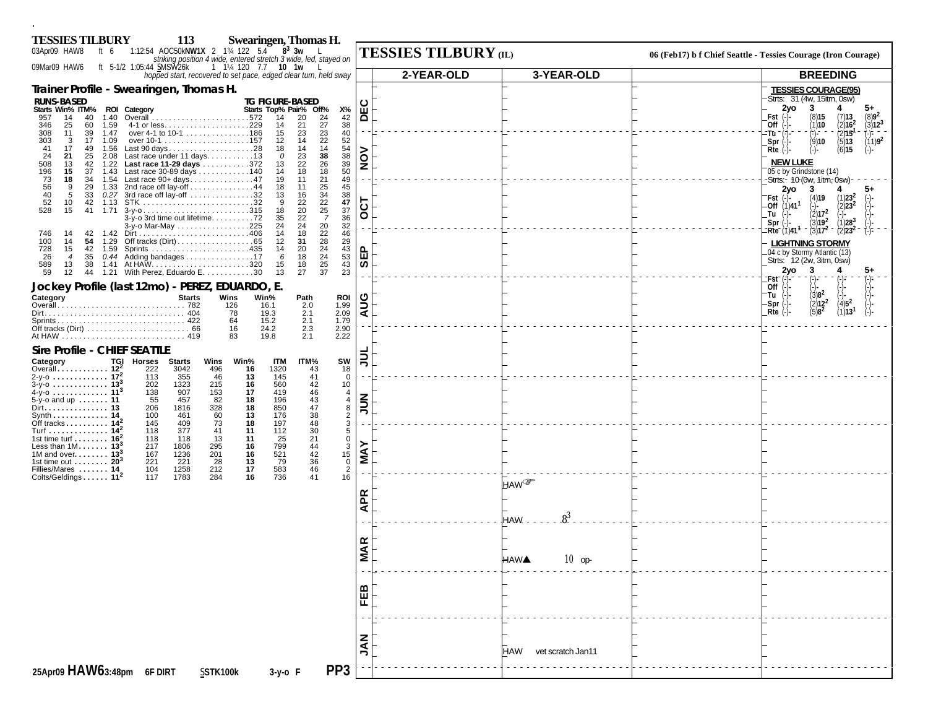| 113<br><b>TESSIES TILBURY</b><br>Swearingen, Thomas H.<br>$8^3$ 3w<br>ft 6 1:12:54 AOC50kNW1X 2 134 122 5.4<br>03Apr09 HAW8                                                                                                                                                                                                                                                                                                                                                                                               |                                                                                               | <b>TESSIES TILBURY</b> (IL) |                                                 | 06 (Feb17) b f Chief Seattle - Tessies Courage (Iron Courage)                                                                                                                                                                                                                           |
|---------------------------------------------------------------------------------------------------------------------------------------------------------------------------------------------------------------------------------------------------------------------------------------------------------------------------------------------------------------------------------------------------------------------------------------------------------------------------------------------------------------------------|-----------------------------------------------------------------------------------------------|-----------------------------|-------------------------------------------------|-----------------------------------------------------------------------------------------------------------------------------------------------------------------------------------------------------------------------------------------------------------------------------------------|
| striking position 4 wide, entered stretch 3 wide, led, stayed on<br>1 1 <sup>/4</sup> 120 7.7 <b>10 1w</b><br>09Mar09 HAW6<br>ft 5-1/2 1:05:44 SMSW26k<br>hopped start, recovered to set pace, edged clear turn, held sway                                                                                                                                                                                                                                                                                                |                                                                                               | 2-YEAR-OLD                  | 3-YEAR-OLD                                      | <b>BREEDING</b>                                                                                                                                                                                                                                                                         |
| Trainer Profile - Swearingen, Thomas H.                                                                                                                                                                                                                                                                                                                                                                                                                                                                                   |                                                                                               |                             |                                                 | <b>TESSIES COURAGE(95)</b>                                                                                                                                                                                                                                                              |
| <b>RUNS-BASED</b><br><b>TG FIGURE-BASED</b><br>Starts Win% ITM% ROI Category<br>Starts Top% Pair% Off%<br>14<br>20<br>24<br>957<br>14<br>40<br>1.40<br>$27\,$<br>346<br>21<br>25<br>60<br>1.59<br>14<br>308<br>over 4-1 to 10-1 186<br>11<br>39<br>1.47<br>15<br>23                                                                                                                                                                                                                                                       | Х%<br>$\begin{array}{c} 42 \\ 38 \\ 40 \end{array}$                                           | ပူ<br>$\Omega$              |                                                 | Strts: 31 (4w, 15itm, 0sw)<br>3<br>2yo<br>4<br>$5+$<br>(8)15<br>$(7)13$<br>$(2)162$<br>$(8)9^2$<br>Fst<br>(1)10<br>$\binom{3}{1}$ 12 <sup>3</sup><br>Off $(-)$ -<br>(2)15                                                                                                               |
| $\frac{23}{22}$<br>14<br>303<br>$\mathbf{3}$<br>14<br>17<br>1.09<br>12<br>17<br>41<br>49<br>1.56<br>Last 90 days28<br>18<br>14<br>38<br>24<br>25<br>Last race under 11 days. 13<br>23<br>21<br>2.08<br>$\mathcal O$<br>Last race 11-29 days 372<br>26<br>22<br>13<br>42<br>1.22<br>13<br>Last race 30-89 days 140<br>18<br>15<br>18<br>37<br>1.43<br>14                                                                                                                                                                   | 52<br>54<br>38<br>39<br>50                                                                    | š<br>Ž                      |                                                 | (-)--<br>(9) <b>10</b><br>:Tū "<br>$(11)9^2$<br>(5)13<br>$Spr$ $(-)$<br>$(-)$<br>(6)15<br>$Rte$ $(-)$<br>$(-)$ -<br><b>NEW LUKE</b><br>05 c by Grindstone (14)                                                                                                                          |
| 508<br>196<br>196<br>73<br>56<br>40<br>18<br>34<br>1.54 Last race 90+ days47<br>21<br>19<br>11<br>$\frac{25}{34}$<br>1.33 2nd race off lay-off 44<br>9<br>29<br>18<br>11<br>0.27 3rd race off lay-off 32<br>5<br>33<br>13<br>16<br>$\frac{22}{25}$<br>$\frac{52}{528}$<br>22<br>10<br>42<br>-9<br>20<br>15<br>41<br>1.71<br>18<br>22<br>$\overline{7}$<br>3-y-o 3rd time out lifetime72<br>35<br>20<br>24<br>24<br>3-y-o Mar-May 225                                                                                      | 49<br>45<br>$\frac{38}{47}$<br>$\frac{47}{37}$<br>$\frac{36}{32}$                             | 5<br>Ŏ                      |                                                 | -Strts:- 10 (0w, 1itm, 0sw)-<br>-3<br>2yo<br>(4)19<br>$(1)$ 23 <sup>2</sup><br>$Fst$ (-)-<br>$-$ Off $(1)$ 41 <sup>1</sup><br>(2)23 <sup>2</sup><br>(2)17 <sup>2</sup><br>Tu<br>(1)28 <sup>3</sup><br>$(3)19^{2}$<br>$Spr$ $(-)$<br>$Rte^{-1}$ (1)41 <sup>4</sup><br>$(3)17^2$<br>(2)23 |
| $\frac{22}{28}$<br>28<br>18<br>42<br>14<br>746<br>100<br>1.42<br>14<br>1.29<br>31<br>14<br>54<br>12<br>728<br>15<br>42<br>20<br>14<br>24<br>0.44 Adding bandages 17<br>18<br>26<br>35<br>6<br>$\overline{4}$<br>25<br>18<br>589<br>1.41 At HAW…………………………320<br>1.21 With Perez, Eduardo E……………30<br>15<br>13<br>38<br>37<br>59<br>27<br>12<br>44<br>13                                                                                                                                                                    | 46<br>29<br>43<br>53<br>43<br>23                                                              | $\mathbf{f}$<br>ທ           |                                                 | <b>LIGHTNING STORMY</b><br>.04 c by Stormy Atlantic (13)<br>Strts: 12 (2w, 3itm, 0sw)<br>2yo<br>3                                                                                                                                                                                       |
| Jockey Profile (last 12mo) - PEREZ, EDUARDO, E.<br>Win%<br><b>Starts</b><br>Wins<br><b>ROI</b><br>Category<br>Path<br>1.99<br>126<br>16.1<br>2.0<br>78<br>19.3<br>2.1<br>2.09<br>2.1<br>1.79<br>64<br>15.2<br>2.90<br>16<br>24.2<br>2.3<br>2.22<br>83<br>19.8<br>2.1                                                                                                                                                                                                                                                      |                                                                                               | ပ<br>Ě<br>⋖                 |                                                 | :Fst <sup>-</sup><br>Off<br>$(3)8^2$<br>"Tu (-)-<br>$\binom{2}{5}$ $\binom{2}{3}$<br>-Spr (-)-<br>-Rte (-)-<br>(1)13 <sup>1</sup>                                                                                                                                                       |
| <b>Sire Profile - CHIEF SEATTLE</b><br>TGI<br>Win%<br>Category<br>Horses Starts<br>Wins<br>ITM<br>ITM%<br>Overall $122$<br>222<br>3042<br>496<br>1320<br>16<br>43<br>2-y-o $17^{2}$<br>41<br>46<br>13<br>113<br>355<br>145                                                                                                                                                                                                                                                                                                | SW<br>$\begin{array}{c} 18 \\ 0 \end{array}$                                                  | ミ                           |                                                 |                                                                                                                                                                                                                                                                                         |
| $3-y-0$ 13 <sup>3</sup><br>1323<br>560<br>42<br>202<br>215<br>16<br>$\frac{46}{43}$<br>4-y-o  11 <sup>3</sup><br>138<br>907<br>153<br>419<br>17<br>55<br>82<br>196<br>5-y-o and up $\dots \dots$ 11<br>457<br>18<br>47<br>206<br>1816<br>328<br>60<br>18<br>850<br>Dirt. 13<br>13<br>176<br>38<br>100<br>461<br>Synth 14<br>Off tracks $142$<br>73<br>197<br>48<br>145<br>409<br>18                                                                                                                                       | 10<br>$\overline{4}$<br>$\overline{4}$<br>$\begin{smallmatrix} 8 \\ 2 \end{smallmatrix}$<br>3 | ミラ                          |                                                 |                                                                                                                                                                                                                                                                                         |
| Turf 14 <sup>2</sup><br>118<br>30<br>377<br>41<br>112<br>11<br>$21$<br>1st time turf $162$<br>25<br>118<br>118<br>13<br>11<br>799<br>44<br>Less than $1M$ 13 <sup>3</sup><br>217<br>1806<br>295<br>16<br>42<br>16<br>521<br>1M and over. $\dots \dots$ 13 <sup>3</sup><br>1236<br>201<br>167<br>221<br>13<br>79<br>36<br>1st time out $\dots \dots$ 20 <sup>3</sup><br>221<br>28<br>1258<br>212<br>17<br>583<br>46<br>Fillies/Mares  14<br>104<br>736<br>Colts/Geldings 11 <sup>2</sup><br>117<br>1783<br>284<br>16<br>41 | 5<br>$\begin{array}{c} 0 \\ 3 \\ 15 \\ 0 \\ 2 \end{array}$<br>16                              | ≻<br>Š                      |                                                 |                                                                                                                                                                                                                                                                                         |
|                                                                                                                                                                                                                                                                                                                                                                                                                                                                                                                           |                                                                                               | <b>APR</b>                  | <b>HAW</b> <sup></sup><br>$8^{3}$<br><b>HAW</b> |                                                                                                                                                                                                                                                                                         |
|                                                                                                                                                                                                                                                                                                                                                                                                                                                                                                                           |                                                                                               | <b>MAR</b>                  | $10$ op<br><b>HAWA</b>                          |                                                                                                                                                                                                                                                                                         |
|                                                                                                                                                                                                                                                                                                                                                                                                                                                                                                                           |                                                                                               | FEB                         |                                                 |                                                                                                                                                                                                                                                                                         |
|                                                                                                                                                                                                                                                                                                                                                                                                                                                                                                                           |                                                                                               | <b>NAL</b>                  | HAW vet scratch Jan11                           |                                                                                                                                                                                                                                                                                         |
| PP <sub>3</sub><br>25Apr09 HAW63:48pm 6F DIRT<br>SSTK100k<br>3-y-o F                                                                                                                                                                                                                                                                                                                                                                                                                                                      |                                                                                               |                             |                                                 |                                                                                                                                                                                                                                                                                         |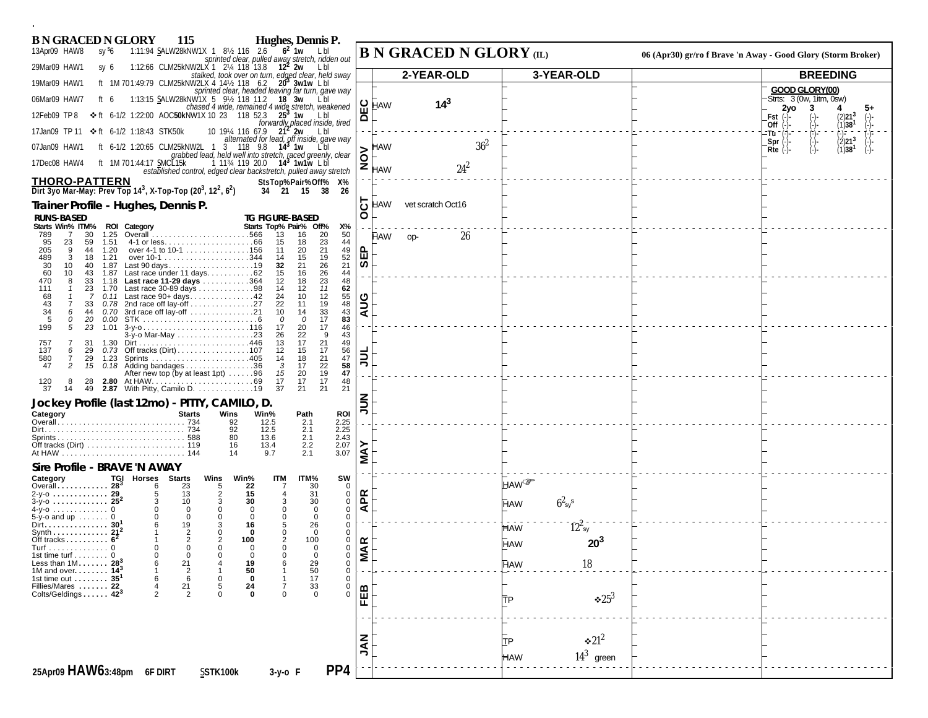| <b>B N GRACED N GLORY</b><br>Hughes, Dennis P.<br><b>115</b>                                                                                                                                                                                                                |                            |                                |                      |                                                              |                                                              |
|-----------------------------------------------------------------------------------------------------------------------------------------------------------------------------------------------------------------------------------------------------------------------------|----------------------------|--------------------------------|----------------------|--------------------------------------------------------------|--------------------------------------------------------------|
| $6^2$ 1w LbI<br>1:11:94 SALW28kNW1X 1 81/2 116 2.6<br>13Apr09 HAW8<br>sy <sup>s</sup> 6<br>sprinted clear, pulled away stretch, ridden out                                                                                                                                  |                            | <b>B N GRACED N GLORY</b> (IL) |                      | 06 (Apr30) gr/ro f Brave 'n Away - Good Glory (Storm Broker) |                                                              |
| 29Mar09 HAW1<br>1:12:66 CLM25kNW2LX 1 214 118 13.8 12 <sup>2</sup> 2w Lbl<br>sy 6<br>stalked, took over on turn, edged clear, held sway<br>ft 1M 701:49:79 CLM25kNW2LX 4 14½ 118 6.2 <b>20 3w1w</b> L bl                                                                    |                            | 2-YEAR-OLD                     | 3-YEAR-OLD           |                                                              | <b>BREEDING</b>                                              |
| 19Mar09 HAW1<br>sprinted clear, headed leaving far turn, gave way                                                                                                                                                                                                           |                            |                                |                      |                                                              | GOOD GLORY(00)                                               |
| 1:13:15 SALW28kNW1X 5 9% 118 11.2 18 3w Lbl<br>chased 4 wide, remained 4 wide stretch, weakened $\begin{bmatrix} 1 & 0 & 0 \\ 0 & 1 & 0 \\ 0 & 0 & 0 \end{bmatrix}$ HAW<br>06Mar09 HAW7<br>ft 6                                                                             |                            | $14^{3}$                       |                      |                                                              | Strts: 3 (0w, 1itm, 0sw)<br>2yo<br>4<br>5+<br>з              |
| <b>❖</b> ft 6-1/2 1:22:00 AOC50kNW1X 10 23 118 52.3 25 <sup>3</sup> 1w Lbl<br>12Feb09 TP8<br>forwardly placed inside, tired                                                                                                                                                 | ≏                          |                                |                      |                                                              | (2)21 <sup>3</sup><br>Fst<br>(1)38 <sup>1</sup><br>Off $(-)$ |
| 10 19¼ 116 67.9 $21^2$ 2w L bl<br>alternated for lead, off inside, gave way<br>❖ft 6-1/2 1:18:43 STK50k<br>17Jan09 TP 11                                                                                                                                                    |                            |                                |                      |                                                              | $^{(-)}_{(2)21}$ <sup>3</sup><br>:Tū ¯ (:).<br>$Spr$ $(-)$   |
| ft 6-1/2 1:20:65 CLM25kNW2L 1 3 118 9.8 14 <sup>3</sup> 1w<br>07Jan09 HAW1<br>grabbed lead, held well into stretch, raced greenly, clear                                                                                                                                    | <b>HAW</b><br>δ            | 36 <sup>2</sup>                |                      |                                                              | $(1)38$ <sup>1</sup><br>$Rte$ $(-)$<br>⊙).                   |
| ft 1M 701:44:17 SMCL15k<br>1 11 <sup>3</sup> / <sub>4</sub> 119 20.0 <b>14<sup>3</sup> 1w1w</b> Lb<br>17Dec08 HAW4<br>established control, edged clear backstretch, pulled away stretch                                                                                     | z<br>HAW                   | $24^2$                         |                      |                                                              |                                                              |
| <b>THORO-PATTERN</b><br>StsTop%Pair%Off% X%<br>Dirt 3yo Mar-May: Prev Top 14 <sup>3</sup> , X-Top-Top (20 <sup>3</sup> , 12 <sup>2</sup> , 6 <sup>2</sup> )<br>34 21 15 38<br>26                                                                                            |                            |                                |                      |                                                              |                                                              |
| Trainer Profile - Hughes, Dennis P.                                                                                                                                                                                                                                         | HAW<br>$\ddot{\mathbf{O}}$ | vet scratch Oct16              |                      |                                                              |                                                              |
| <b>RUNS-BASED</b><br><b>TG FIGURE-BASED</b><br>Starts Win% ITM% ROI Category<br>Starts Top% Pair% Off%<br>Х%                                                                                                                                                                | $\circ$                    |                                |                      |                                                              |                                                              |
| Overall<br>789<br>30<br>1.25<br>13<br>16<br>20<br>50<br>- 7<br>23<br>95<br>1.51<br>18<br>44<br>23<br>59<br>15                                                                                                                                                               | HAW                        | 26<br>op-                      |                      |                                                              |                                                              |
| 21<br>49<br>205<br>1.20<br>over 4-1 to 10-1 156<br>20<br>9<br>44<br>11<br>$\frac{52}{21}$<br>19<br>489<br>3<br>1.21<br>15<br>18<br>14                                                                                                                                       | ݳᇜ                         |                                |                      |                                                              |                                                              |
| 26<br>21<br>30<br>Last 90 days19<br>10<br>40<br>1.87<br>32<br>Last race under 11 days. 62<br>26<br>44<br>60<br>10<br>43<br>15<br>16<br>1.87                                                                                                                                 | ౹ᢆᢆ                        |                                |                      |                                                              |                                                              |
| 1.18 Last race 11-29 days 364<br>23<br>12<br>18<br>48<br>470<br>8<br>33<br>Last race 30-89 days 98<br>12<br>11<br>62<br>111<br>23<br>14<br>1.70                                                                                                                             |                            |                                |                      |                                                              |                                                              |
| $0.11$ Last race $90+ days$ 42<br>12<br>55<br>24<br>10<br>68<br>-7<br>0.78 2nd race off lay-off 27<br>48<br>22<br>19<br>43<br>11<br>33                                                                                                                                      | $\mathbf{S}$               |                                |                      |                                                              |                                                              |
| 34<br>3rd race off lay-off 21<br>33<br>43<br>44<br>0.70<br>10<br>14<br>6<br>17<br>83<br>5<br>20<br>0.00<br>0<br>0<br>0                                                                                                                                                      | ⋖                          |                                |                      |                                                              |                                                              |
| 17<br>$3-y-0$ 116<br>20<br>46<br>199<br>5<br>23<br>1.01<br>17<br>3-y-o Mar-May 23<br>26<br>22<br>9<br>43<br>17<br>21<br>49<br>31<br>13<br>1.30                                                                                                                              |                            |                                |                      |                                                              |                                                              |
| 757<br>56<br>137<br>6<br>29<br>12<br>15<br>17<br>47<br>18<br>580<br>29<br>14<br>7<br>1.23                                                                                                                                                                                   | $\overline{5}$             |                                |                      |                                                              |                                                              |
| $^{21}_{22}$<br>58<br>2<br>0.18 Adding bandages 36<br>17<br>47<br>15<br>3<br>After new top (by at least 1pt) $\dots \dots 96$<br>19<br>47<br>15<br>20                                                                                                                       |                            |                                |                      |                                                              |                                                              |
| 17<br>2.80 At HAW……………………………69<br>2.87 With Pitty, Camilo D………………19<br>17<br>48<br>17<br>$\frac{120}{37}$<br>14<br>49<br>37<br>21<br>21<br>21                                                                                                                               |                            |                                |                      |                                                              |                                                              |
| Jockey Profile (last 12mo) - PITTY, CAMILO, D.                                                                                                                                                                                                                              | ミミ                         |                                |                      |                                                              |                                                              |
| Category<br><b>Starts</b><br>Wins<br>Win%<br><b>ROI</b><br>Path<br>92<br>2.25<br>12.5<br>2.1                                                                                                                                                                                |                            |                                |                      |                                                              |                                                              |
| 92<br>12.5<br>2.1<br>2.25<br>$2.43$<br>$2.07$<br>80<br>2.1<br>13.6                                                                                                                                                                                                          |                            |                                |                      |                                                              |                                                              |
| 2.2<br>16<br>13.4<br>3.07<br>2.1<br>9.7<br>14                                                                                                                                                                                                                               | <b>NAY</b>                 |                                |                      |                                                              |                                                              |
| Sire Profile - BRAVE 'N AWAY                                                                                                                                                                                                                                                |                            |                                |                      |                                                              |                                                              |
| <b>TGI Horses Starts</b><br>Wins<br>Win%<br><b>ITM</b><br>ITM%<br>SW<br>Category<br>Overall 28 <sup>3</sup><br>22<br>23<br>30<br>0<br>5                                                                                                                                     |                            | HAW <sup>@</sup>               |                      |                                                              |                                                              |
| $\overline{2}$<br>13<br>15<br>31<br>0<br>2-y-0  29<br>5<br>30<br>$3-y-0$ 25 <sup>2</sup><br>10<br>3<br>30<br>0<br>3<br>3                                                                                                                                                    | <b>APR</b>                 | <b>HAW</b>                     | $62_{sy}s$           |                                                              |                                                              |
| $\mathbf 0$<br>$\mathbf 0$<br>$\mathbf 0$<br>$\Omega$<br>$\overline{0}$<br>$\Omega$<br>0<br>0<br>$5-y$ -o and up $\ldots \ldots$ 0<br>$\Omega$<br>$\mathbf 0$                                                                                                               |                            |                                |                      |                                                              |                                                              |
| Dirt. 30 <sup>1</sup><br>19<br>3<br>26<br>0<br>6<br>16<br>Synth $\ldots \ldots \ldots \ldots 21^2$<br>$\mathbf 0$<br>2<br>$\Omega$<br>$\mathbf 0$<br>$\mathbf 0$<br>$\mathbf 0$<br>Off tracks $\dots\dots\dots\ 6^2$<br>$\overline{2}$<br>$\overline{2}$<br>100<br>100<br>0 |                            | <b>HAW</b>                     | $12^2$ <sub>sy</sub> |                                                              |                                                              |
| Turf 0<br>$\Omega$<br>$\Omega$<br>0<br>$\Omega$<br>$\Omega$<br>$\Omega$<br>1st time turf $\ldots \ldots$ 0<br>$\Omega$<br>$\mathbf 0$<br>$\Omega$<br>$\Omega$<br>$\Omega$<br>$\Omega$<br>$\Omega$                                                                           | <b>VIAR</b>                | <b>HAW</b>                     | $20^{3}$             |                                                              |                                                              |
| Less than $1M$<br>1M and over<br>$28^{\circ}$<br>$\mathbf{^{21}_{\,2}}$<br>0<br>19<br>$14^{3}$<br>50<br>$\mathbf 0$                                                                                                                                                         |                            | <b>HAW</b>                     | 18                   |                                                              |                                                              |
| 29<br>50<br>17<br>33<br>0<br>$\mathbf 0$<br>1st time out $\dots\dots$<br>35<br>6<br>0<br>22<br>$^{21}_{2}$<br>$\frac{5}{0}$<br>Fillies/Mares                                                                                                                                |                            |                                |                      |                                                              |                                                              |
| $_{\rm 0}^{\rm 0}$<br>$^{24}_{0}$<br>Colts/Geldings $423$<br>$\Omega$                                                                                                                                                                                                       | FEB                        | <b>TP</b>                      | $*25^3$              |                                                              |                                                              |
|                                                                                                                                                                                                                                                                             |                            |                                |                      |                                                              |                                                              |
|                                                                                                                                                                                                                                                                             |                            |                                |                      |                                                              |                                                              |
|                                                                                                                                                                                                                                                                             | $rac{z}{\lambda}$          | TP                             | $\div 21^2$          |                                                              |                                                              |
| PP <sub>4</sub><br>25Apr09 HAW63:48pm 6F DIRT<br>SSTK100k<br>$3-y$ -o F                                                                                                                                                                                                     |                            | <b>HAW</b>                     | $14^3$ green         |                                                              |                                                              |
|                                                                                                                                                                                                                                                                             |                            |                                |                      |                                                              |                                                              |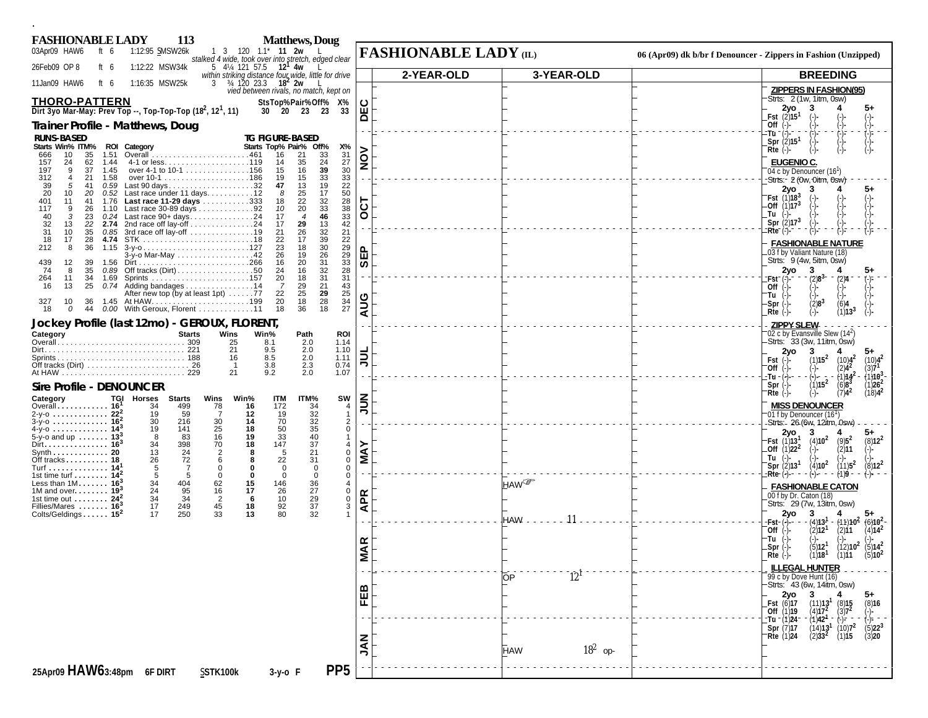| <b>Matthews</b> , Doug<br><b>FASHIONABLE LADY</b><br><b>113</b>                                                                                                                                                                          |                                |                              |                                                                                                                                                                  |
|------------------------------------------------------------------------------------------------------------------------------------------------------------------------------------------------------------------------------------------|--------------------------------|------------------------------|------------------------------------------------------------------------------------------------------------------------------------------------------------------|
| 03Apr09 HAW6<br>1:12:95 SMSW26k<br>1 3 120 1.1 <sup>*</sup> <b>11 2w</b><br>ft $6$<br>stalked 4 wide, took over into stretch, edged clear                                                                                                |                                | <b>FASHIONABLE LADY (IL)</b> | 06 (Apr09) dk b/br f Denouncer - Zippers in Fashion (Unzipped)                                                                                                   |
| 26Feb09 OP 8<br>1:12:22 MSW34k<br>ft $6$<br>5 4 <sup>1</sup> / <sub>4</sub> 121 57.5 <b>12<sup>1</sup> 4w</b>                                                                                                                            |                                | 2-YEAR-OLD<br>3-YEAR-OLD     | <b>BREEDING</b>                                                                                                                                                  |
| within striking distance four wide, little for drive<br>$\frac{3}{4}$ , $\frac{34}{120}$ , $\frac{23.3}{20}$ , $\frac{18^2}{20}$ , $\frac{20}{10}$<br>1:16:35 MSW25k<br>11Jan09 HAW6<br>ft $6$<br>vied between rivals, no match, kept on |                                |                              | <b>ZIPPERS IN FASHION(95)</b>                                                                                                                                    |
| <b>THORO-PATTERN</b><br>StsTop%Pair%Off% X%                                                                                                                                                                                              | ပ                              |                              | Strts: 2 (1w, 1itm, 0sw)<br>2yo                                                                                                                                  |
| Dirt 3yo Mar-May: Prev Top --, Top-Top-Top (18 <sup>2</sup> , 12 <sup>1</sup> , 11)<br>30 20 23 23<br>33                                                                                                                                 | 画<br>ō                         |                              | <b>Fst</b> $(2)15^1$<br>(-)-<br>(-)-                                                                                                                             |
| Trainer Profile - Matthews, Doug<br><b>RUNS-BASED</b><br><b>TG FIGURE-BASED</b>                                                                                                                                                          |                                |                              | $(-) -$<br>(-)<br>(-)<br>(-) -<br>(-) -<br>Off $(\cdot)$<br>:Tū ¯ (−̃)-                                                                                          |
| Starts Win% ITM% ROI Category<br>Starts Top% Pair% Off%<br>Х%                                                                                                                                                                            |                                |                              | Spr $\langle 2 \rangle$ 15 <sup>1</sup><br>$(-)$<br>$Rte$ $(-)$                                                                                                  |
| 31<br>33<br>35<br>1.51<br>16<br>21<br>666<br>10<br>27<br>35<br>24<br>157<br>24<br>62<br>1.44<br>14                                                                                                                                       | $\frac{8}{2}$                  |                              | <b>EUGENIO C.</b>                                                                                                                                                |
| 39<br>30<br>1.45<br>over 4-1 to 10-1 156<br>16<br>197<br>9<br>37<br>15<br>$\frac{33}{19}$<br>33<br>15<br>312<br>21<br>1.58<br>19<br>$\overline{4}$                                                                                       |                                |                              | 04 c by Denouncer (16 <sup>1</sup> )<br>-Strts:- 2 (Ow, Oitm, Osw)                                                                                               |
| Last 90 days32<br>13<br>22<br>39<br>41<br>0.59<br>47<br>5<br>20<br>Last race under 11 days12<br>17<br>50<br>25<br>10<br>20<br>0.52<br>8                                                                                                  |                                |                              | 2yo<br>3<br><b>Fst</b> $(1)18^3$<br>$(-)$                                                                                                                        |
| 32<br>28<br>22<br>Last race 11-29 days 333<br>401<br>18<br>11<br>41<br>1.76<br>Last race 30-89 days 92<br>33<br>20<br>9<br>26<br>10<br>117<br>1.10                                                                                       | 5                              |                              | Off $(1)17^3$<br>Tu                                                                                                                                              |
| $38$<br>$33$<br>$42$<br>46<br>Last race $90+ days$ 24<br>40<br>$\cdot$ 3<br>23<br>0.24<br>17<br>$\boldsymbol{\Lambda}$<br>32<br>2nd race off lay-off 24<br>29<br>13<br>13<br>22<br>17<br>2.74                                            | $\circ$                        |                              | Spr $(2)17^3$                                                                                                                                                    |
| $\frac{32}{39}$<br>26<br>21<br>31<br>10<br>35<br>0.85<br>21<br>17<br>22<br>18<br>17<br>28<br>4.74<br>22                                                                                                                                  |                                |                              | :Rte (-)-<br><b>FASHIONABLE NATURE</b>                                                                                                                           |
| $\frac{30}{26}$<br>$\begin{array}{c} 29 \\ 29 \end{array}$<br>23<br>212<br>8<br>36<br>1.15<br>18<br>19<br>3-y-o Mar-May 42<br>26                                                                                                         | ௳<br>面                         |                              | 03 f by Valiant Nature (18)                                                                                                                                      |
| 33<br>20<br>31<br>439<br>12<br>39<br>16<br>1.56<br>32<br>28<br>Off tracks $(Dirt) \ldots \ldots \ldots \ldots \ldots \ldots 50$<br>16<br>74<br>8<br>35<br>0.89<br>24                                                                     | ທ                              |                              | Strts: 9 (4w, 5itm, 0sw)<br>2yo<br>3<br>5+                                                                                                                       |
| 31<br>31<br>34<br>20<br>18<br>264<br>11<br>1.69<br>21<br>Adding bandages 14<br>29<br>43<br>25<br>-7<br>13<br>0.74<br>16                                                                                                                  |                                |                              | $(2)8^{3-}$<br>:Fst <sup>-</sup><br>(2)4<br>Off                                                                                                                  |
| 25<br>29<br>25<br>After new top (by at least 1pt) 77<br>22<br>28<br>18<br>34<br>10<br>20<br>327<br>36                                                                                                                                    | AUG                            |                              | Tu<br>$Spr(-)$                                                                                                                                                   |
| 18<br>27<br>18<br>36<br>18<br>0<br>44<br>0.00 With Geroux, Florent 11                                                                                                                                                                    |                                |                              | $\binom{2}{3}$<br>(-)-<br>(1)13<br>$Rte$ (-)                                                                                                                     |
| Jockey Profile (last 12mo) - GEROUX, FLORENT,<br>Category<br>Wins<br><b>Starts</b><br>Win%<br>Path<br><b>ROI</b>                                                                                                                         |                                |                              | <b>ZIPPY SLEW</b><br>02 c by Evansville Slew (14 <sup>2</sup> )                                                                                                  |
| 25<br>8.1<br>2.0<br>1.14<br>21<br>2.0<br>9.5<br>1.10                                                                                                                                                                                     |                                |                              | Strts: 33 (3w, 11itm, 0sw)<br>2 <sub>vo</sub><br>3<br>5+                                                                                                         |
| 1.11<br>16<br>8.5<br>2.0<br>0.74<br>3.8                                                                                                                                                                                                  | ミ                              |                              | $(1)15^2$<br>$^{(10)4^2}_{(2)4^2}$<br>$\binom{10}{3}$ <sup>2</sup><br>Fst                                                                                        |
| $\frac{2.3}{2.0}$<br>9.2<br>21<br>1.07                                                                                                                                                                                                   |                                |                              | <b>Off</b><br>$(1)$ 10 $3$<br>-Tu -<br>(=)-−<br>· (1)14                                                                                                          |
| <b>Sire Profile - DENOUNCER</b><br><b>TGI Horses</b><br>SW                                                                                                                                                                               |                                |                              | (1)15 <sup>2</sup><br>$(6)8^{3}$<br>(1) <b>26<sup>2</sup><br/>(18)4<sup>2</sup></b><br>Spr<br>$(7)4^2$<br>$Rte$ $(-)$                                            |
| Category<br><b>Starts</b><br>Wins<br>Win%<br><b>ITM</b><br>ITM%<br>Overall 16 <sup>1</sup><br>34<br>16<br>34<br>499<br>78<br>172<br>2-y-0  22 <sup>2</sup><br>19<br>19<br>59<br>-7<br>12                                                 | ミミ<br>4<br>$\mathbf{1}$        |                              | <b>MISS DENOUNCER</b>                                                                                                                                            |
| $\begin{array}{c} 32 \\ 32 \\ 35 \end{array}$<br>70<br>30<br>14<br>$3-y$ -0  16 <sup>2</sup><br>30<br>216<br>18<br>25<br>50<br>4-y-o 14 <sup>3</sup><br>19<br>141                                                                        | $^2_{\rm 0}$                   |                              | 01 f by Denouncer (16 <sup>1</sup> )<br>-Strts:- 26 (6w, 12itm, 0sw)                                                                                             |
| 16<br>33<br>40<br>5-y-o and up  13 <sup>3</sup><br>8<br>83<br>19<br>37<br>70<br>18<br>147<br>Dirt. 16 <sup>3</sup><br>34<br>398                                                                                                          | $\overline{4}$                 |                              | 2vo<br>(4)10 <sup>2</sup><br>$(9)5^2$<br>$(8)12^2$<br><b>Fst</b> $(1)13$ <sup>1</sup>                                                                            |
| 13<br>24<br>21<br>Synth 20<br>2<br>8<br>5<br>22<br>Off tracks 18<br>26<br>72<br>6<br>31<br>8                                                                                                                                             | Š<br>$\Omega$<br>$\Omega$      |                              | Off $(1)22^2$<br>(2)11<br>Tu                                                                                                                                     |
| $\mathbf 0$<br>Turf 14 <sup>1</sup><br>5<br>-7<br>0<br>$\overline{0}$<br>$\Omega$<br>1st time turf $14^2$<br>5<br>5<br>0<br>$\mathbf 0$<br>$\overline{0}$<br>0                                                                           | $\Omega$<br>$\Omega$           |                              | $(4)10^2$<br>Spr $(2)131$<br>$(11)5^2$<br>$(8)12^2$<br>-Rte (-)-<br>f199                                                                                         |
| 34<br>Less than $1M$ 16 <sup>3</sup><br>$\frac{404}{95}$<br>34<br>62<br>$\frac{146}{26}$<br>$\frac{36}{27}$<br>15<br>24<br>16<br>17<br>1M and over $193$                                                                                 | 4<br>$\mathbf 0$               | <b>HAW</b> <sup>C</sup>      | <b>FASHIONABLE CATON</b>                                                                                                                                         |
| 1st time out $\dots \dots$ 24 <sup>2</sup><br>34<br>$\overline{2}$<br>10<br>6<br>37<br>17<br>249<br>45<br>92<br>18<br>Fillies/Mares $16^3$                                                                                               | <b>APR</b><br>$\mathbf 0$<br>3 |                              | 00 f by Dr. Caton (18)<br>Strts: 29 (7w, 13itm, 0sw)                                                                                                             |
| Colts/Geldings $15^2$<br>33<br>80<br>32<br>17<br>250<br>13                                                                                                                                                                               |                                | 11<br>HAW -                  | 2yo<br>3<br>$(4)13^{1} - (11)10^{2} (6)10^{2}$<br>-Fst- (-)-−                                                                                                    |
|                                                                                                                                                                                                                                          |                                |                              | $(2)$ 12 <sup>1</sup><br>Off $(-)$<br>(2)11<br>$(4)14^2$<br>Tu                                                                                                   |
|                                                                                                                                                                                                                                          | <b>VIAR</b>                    |                              | (5)12 <sup>1</sup><br>$(12)10^2$<br>$(5)14^2$<br>-Spr (-).                                                                                                       |
|                                                                                                                                                                                                                                          |                                |                              | $Rte$ $(-)$<br>$(1)18$ <sup>1</sup><br>$(5)10^2$<br>(1)11<br><b>ILLEGAL HUNTER</b>                                                                               |
|                                                                                                                                                                                                                                          |                                | $\bar{1}2^1$<br>OP           | 99 c by Dove Hunt (16)<br>Strts: 43 (6w, 14itm, 0sw)                                                                                                             |
|                                                                                                                                                                                                                                          | FEB                            |                              | 2yo                                                                                                                                                              |
|                                                                                                                                                                                                                                          |                                |                              | Fst $(6)$ 17<br>$(11)13$ <sup>1</sup><br>$(8)15$<br>$(3)7^2$<br>$(-)$<br>$(10)7^2$<br>$(1)15$<br>(8)16<br>Off (1)19                                              |
|                                                                                                                                                                                                                                          |                                |                              | $(4)17^2$<br>(1)42 <sup>1</sup><br>(14)13 <sup>1</sup><br>(2)33 <sup>2</sup><br>$^{2/5}$<br>(5)22 <sup>3</sup><br>(3)20<br>†Tu <sup>−</sup> (1)24<br>Spr $(7)17$ |
|                                                                                                                                                                                                                                          | MA<br>S                        |                              | Rte (1)24                                                                                                                                                        |
|                                                                                                                                                                                                                                          |                                | $18^2$ op-<br><b>HAW</b>     |                                                                                                                                                                  |
| PP <sub>5</sub><br>25Apr09 HAW63:48pm 6F DIRT<br>SSTK100k<br>$3-y$ -o F                                                                                                                                                                  |                                |                              |                                                                                                                                                                  |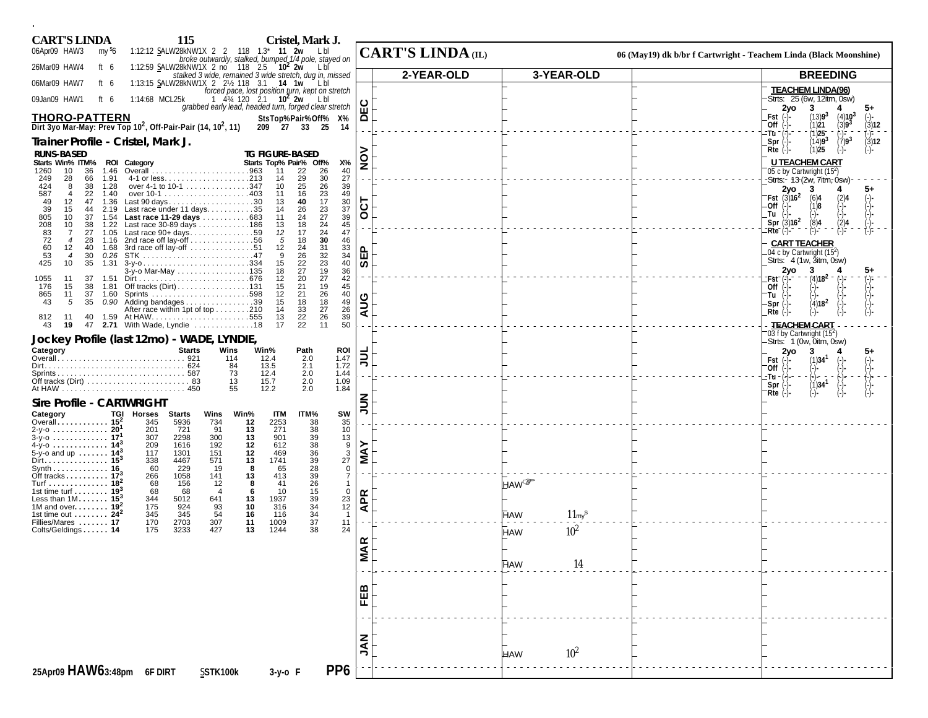| <b>CART'S LINDA</b>                                                                                           | 115                                                  |                                                                                                    | Cristel, Mark J.                                                         |                   |                          |                  |                    |                                                                   |                                                                                                    |
|---------------------------------------------------------------------------------------------------------------|------------------------------------------------------|----------------------------------------------------------------------------------------------------|--------------------------------------------------------------------------|-------------------|--------------------------|------------------|--------------------|-------------------------------------------------------------------|----------------------------------------------------------------------------------------------------|
| 06Apr09 HAW3<br>my <sup>s</sup> 6                                                                             |                                                      | 1:12:12 SALW28kNW1X 2 2 118 1.3* 11 2w Lbl<br>broke outwardly, stalked, bumped 1/4 pole, stayed on |                                                                          |                   | <b>CART'S LINDA</b> (IL) |                  |                    | 06 (May19) dk b/br f Cartwright - Teachem Linda (Black Moonshine) |                                                                                                    |
| 26Mar09 HAW4<br>ft 6                                                                                          |                                                      | 1:12:59 SALW28kNW1X 2 no 118 2.5 10 <sup>2</sup> 2w                                                | LbI                                                                      |                   | 2-YEAR-OLD               |                  | 3-YEAR-OLD         |                                                                   | <b>BREEDING</b>                                                                                    |
| 06Mar09 HAW7<br>ft 6                                                                                          |                                                      | 1:13:15 SALW28kNW1X 2 2 2 118 3.1 14 1w Lbl<br>forced pace, lost position turn, kept on stretch    |                                                                          |                   |                          |                  |                    |                                                                   | <b>TEACHEM LINDA(96)</b>                                                                           |
| ft $6$<br>09Jan09 HAW1                                                                                        | 1:14:68 MCL25k                                       | 1 434 120 2.1 <b>10<sup>2</sup> 2w</b><br>grabbed early lead, headed turn, forged clear stretch    | L bl                                                                     | ΕC                |                          |                  |                    |                                                                   | Strts: 25 (6w, 12itm, 0sw)<br>3<br>2yo<br>4<br>5+                                                  |
| <b>THORO-PATTERN</b><br>Dirt 3yo Mar-May: Prev Top 10 <sup>2</sup> , Off-Pair-Pair (14, 10 <sup>2</sup> , 11) |                                                      | 209 27 33 25                                                                                       | StsTop%Pair%Off% X%<br>14                                                | $\mathbf{\Omega}$ |                          |                  |                    |                                                                   | (13)9 <sup>3</sup><br>$(4)103$<br>$(3)93$<br>$Fst$ $(-)$<br>$(-)$<br>(3)12<br>(1)21<br>Off $(-)$ - |
| Trainer Profile - Cristel, Mark J.                                                                            |                                                      |                                                                                                    |                                                                          |                   |                          |                  |                    |                                                                   | (1)25<br>(−)=<br>'Tū "<br>$(7)9^{3}$<br>(14)9 <sup>3</sup><br>(3)12<br>$Spr$ $(-)$                 |
| <b>RUNS-BASED</b>                                                                                             |                                                      | <b>TG FIGURE-BASED</b>                                                                             |                                                                          |                   |                          |                  |                    |                                                                   | (1)25<br>$Rte$ (-)-<br>$(-)$<br>$(-)$                                                              |
| Starts Win% ITM% ROI Category<br>36<br>1260<br>10<br>1.46                                                     |                                                      | Starts Top% Pair% Off%<br>11                                                                       | Х%<br>22<br>26<br>40                                                     | $\frac{5}{2}$     |                          |                  |                    |                                                                   | <b>U TEACHEM CART</b>                                                                              |
| 249<br>28<br>66<br>1.91                                                                                       |                                                      | 14                                                                                                 | $30\,$<br>27<br>29                                                       |                   |                          |                  |                    |                                                                   | 05 c by Cartwright (15 <sup>2</sup> )<br>-Strts:- 13 (2w, 7itm, 0sw)                               |
| 424<br>38<br>1.28<br>8<br>587<br>22<br>$\overline{4}$<br>1.40                                                 | over 4-1 to 10-1 347                                 | 10<br>11                                                                                           | 26<br>25<br>39<br>$^{23}_{17}$<br>49<br>16                               |                   |                          |                  |                    |                                                                   | 3<br>5+<br>2vo<br>4<br><b>Fst</b> $(3)16^2$<br>(6)4<br>$(-)$                                       |
| 49<br>12<br>47<br>1.36<br>39<br>15<br>44<br>2.19                                                              | Last 90 days30<br>Last race under 11 days35          | 13<br>14                                                                                           | 40<br>$\frac{30}{37}$<br>26                                              | TOO               |                          |                  |                    |                                                                   | (2)4<br>(-)-<br>.Off<br>(1)8                                                                       |
| 805<br>10<br>37<br>1.54<br>208<br>10<br>38<br>1.22                                                            | Last race 11-29 days 683<br>Last race 30-89 days 186 | 11<br>13                                                                                           | $\frac{23}{27}$<br>39<br>24<br>18<br>24<br>45                            |                   |                          |                  |                    |                                                                   | Tu<br>Spr $(3)16^2$<br>(2)4<br>(8)4                                                                |
| 83<br>72<br>27<br>$\overline{7}$<br>1.05                                                                      | Last race $90+ days$ 59                              | 17<br>12                                                                                           | 47<br>$\frac{24}{30}$                                                    |                   |                          |                  |                    |                                                                   | (F)-<br>Rte (-)-                                                                                   |
| 28<br>$\overline{4}$<br>1.16<br>60<br>53<br>12<br>40<br>1.68                                                  | 2nd race off lay-off 56<br>3rd race off lay-off 51   | 5<br>24<br>12                                                                                      | 46<br>18<br>33<br>31                                                     | <b>G</b>          |                          |                  |                    |                                                                   | <b>CART TEACHER</b><br>04 c by Cartwright (15 <sup>2</sup> )                                       |
| 30<br>0.26<br>$\overline{4}$<br>425<br>35<br>10<br>1.31                                                       |                                                      | 9<br>15                                                                                            | 34<br>26<br>22<br>40                                                     | စ                 |                          |                  |                    |                                                                   | Strts: 4 (1w, 3itm, 0sw)                                                                           |
| 11<br>37<br>1055<br>1.51                                                                                      | 3-y-o Mar-May 135                                    | 27<br>18<br>12                                                                                     | $32$<br>$23$<br>$19$<br>$27$<br>$\frac{36}{42}$<br>20                    |                   |                          |                  |                    |                                                                   | 3<br>5+<br>2yo<br>'Fst<br>(4)18⊀                                                                   |
| 176<br>15<br>38<br>1.81<br>11                                                                                 |                                                      | 21<br>15<br>21<br>12                                                                               | 19<br>45                                                                 |                   |                          |                  |                    |                                                                   | Off                                                                                                |
| 865<br>37<br>1.60<br>43<br>5<br>35                                                                            | $0.90$ Adding bandages 39                            | 15                                                                                                 | 26<br>40<br>18                                                           | AUG               |                          |                  |                    |                                                                   | 'Tu<br>(4)18 <sup>2</sup><br>$Spr(-)$                                                              |
| 40<br>812<br>11<br>1.59                                                                                       | After race within 1pt of top 210                     | 14<br>13                                                                                           | $\frac{18}{27}$<br>26<br>$\frac{49}{26}$<br>39<br>33<br>22               |                   |                          |                  |                    |                                                                   | $Rte$ (-)                                                                                          |
| 43<br>19<br>47                                                                                                | 2.71 With Wade, Lyndie 18                            | 17                                                                                                 | 22<br>50<br>11                                                           |                   |                          |                  |                    |                                                                   | <b>TEACHEM CART</b><br>03 f by Cartwright (15 <sup>2</sup> )                                       |
| Jockey Profile (last 12mo) - WADE, LYNDIE,<br>Category                                                        | <b>Starts</b>                                        | Wins<br>Win%                                                                                       |                                                                          |                   |                          |                  |                    |                                                                   | Strts: 1 (0w, 0itm, 0sw)                                                                           |
|                                                                                                               |                                                      | 12.4<br>114                                                                                        | ROI<br>Path<br>2.0<br>1.47                                               | <b>TNC</b>        |                          |                  |                    |                                                                   | 2yo<br>3<br>4<br>(1)34 <sup>1</sup><br>$Fst$ (-)-                                                  |
|                                                                                                               |                                                      | 13.5<br>84<br>73<br>12.4                                                                           | 2.1<br>1.72<br>2.0<br>1.44                                               |                   |                          |                  |                    |                                                                   | Off<br>·Tu∹<br>(=)-−                                                                               |
|                                                                                                               |                                                      | 13<br>15.7<br>55<br>12.2                                                                           | 1.09<br>2.0<br>2.0<br>1.84                                               |                   |                          |                  |                    |                                                                   | $(1)$ 34 $1$<br>Spr $(\cdot)$ -<br>Rte $(\cdot)$ -                                                 |
| <b>Sire Profile - CARTWRIGHT</b>                                                                              |                                                      |                                                                                                    |                                                                          | $\frac{2}{3}$     |                          |                  |                    |                                                                   | (-)-                                                                                               |
| Category                                                                                                      | TGI Horses Starts                                    | <b>ITM</b><br>Wins<br>Win%                                                                         | SW<br>ITM%                                                               |                   |                          |                  |                    |                                                                   |                                                                                                    |
| Overall 15 <sup>2</sup><br>2-y-o  20 <sup>1</sup>                                                             | 345<br>5936<br>201<br>721                            | 12<br>2253<br>734<br>13<br>91<br>271                                                               | 38<br>35<br>38<br>10                                                     |                   |                          |                  |                    |                                                                   |                                                                                                    |
| 4-y-o 14 <sup>3</sup>                                                                                         | 2298<br>307<br>209<br>1616                           | 300<br>13<br>901<br>12<br>192<br>612                                                               | $\frac{39}{38}$<br>$\begin{array}{c}\n 13 \\ 9 \\ 3 \\ 27\n \end{array}$ |                   |                          |                  |                    |                                                                   |                                                                                                    |
| 5-y-o and up $14^{3}$<br>Dirt. 15 <sup>3</sup>                                                                | 117<br>1301<br>338<br>4467                           | 151<br>12<br>469<br>571<br>13<br>1741                                                              | 36                                                                       | <b>NAY</b>        |                          |                  |                    |                                                                   |                                                                                                    |
| Synth 16<br>Off tracks $17^3$                                                                                 | 60<br>229<br>266<br>1058                             | 19<br>8<br>65<br>141<br>13<br>413                                                                  | $\frac{39}{28}$<br>0<br>39<br>$\overline{7}$                             |                   |                          |                  |                    |                                                                   |                                                                                                    |
| Turf 18 <sup>2</sup>                                                                                          | 68<br>156                                            | 12<br>8<br>41                                                                                      | $\frac{26}{15}$<br>$\mathbf 1$                                           |                   |                          | HAW <sup>@</sup> |                    |                                                                   |                                                                                                    |
| 1st time turf $\ldots \ldots$ 19 <sup>3</sup><br>Less than $1M$ 15 <sup>3</sup>                               | 68<br>68<br>344<br>5012                              | 10<br>$\overline{4}$<br>-6<br>13<br>1937<br>641                                                    | 0<br>$\substack{23 \ 12}$                                                | $\mathbf{R}$      |                          |                  |                    |                                                                   |                                                                                                    |
| 1M and over $192$<br>1st time out $\dots \dots$ 24 <sup>2</sup>                                               | 175<br>924<br>345<br>345                             | 93<br>10<br>316<br>54<br>16<br>116                                                                 | $\frac{39}{34}$<br>$\overline{1}$                                        | ৰ                 |                          | <b>HAW</b>       | 11 <sub>my</sub> s |                                                                   |                                                                                                    |
| Fillies/Mares  17<br>Colts/Geldings 14                                                                        | 2703<br>170<br>3233<br>175                           | 307<br>11<br>1009<br>427<br>13<br>1244                                                             | 37<br>11<br>38<br>24                                                     |                   |                          |                  | $10^{2}$           |                                                                   |                                                                                                    |
|                                                                                                               |                                                      |                                                                                                    |                                                                          |                   |                          | <b>HAW</b>       |                    |                                                                   |                                                                                                    |
|                                                                                                               |                                                      |                                                                                                    |                                                                          | <b>MAR</b>        |                          |                  |                    |                                                                   |                                                                                                    |
|                                                                                                               |                                                      |                                                                                                    |                                                                          |                   |                          | <b>HAW</b>       | 14                 |                                                                   |                                                                                                    |
|                                                                                                               |                                                      |                                                                                                    |                                                                          |                   |                          |                  |                    |                                                                   |                                                                                                    |
|                                                                                                               |                                                      |                                                                                                    |                                                                          | FEB               |                          |                  |                    |                                                                   |                                                                                                    |
|                                                                                                               |                                                      |                                                                                                    |                                                                          |                   |                          |                  |                    |                                                                   |                                                                                                    |
|                                                                                                               |                                                      |                                                                                                    |                                                                          |                   |                          |                  |                    |                                                                   |                                                                                                    |
|                                                                                                               |                                                      |                                                                                                    |                                                                          | $rac{Z}{2}$       |                          |                  |                    |                                                                   |                                                                                                    |
|                                                                                                               |                                                      |                                                                                                    |                                                                          |                   |                          | <b>HAW</b>       | 10 <sup>2</sup>    |                                                                   |                                                                                                    |
| 25Apr09 HAW63:48pm 6F DIRT                                                                                    |                                                      | SSTK100k<br>$3-y$ -o F                                                                             | PP <sub>6</sub>                                                          |                   |                          |                  |                    |                                                                   |                                                                                                    |
|                                                                                                               |                                                      |                                                                                                    |                                                                          |                   |                          |                  |                    |                                                                   |                                                                                                    |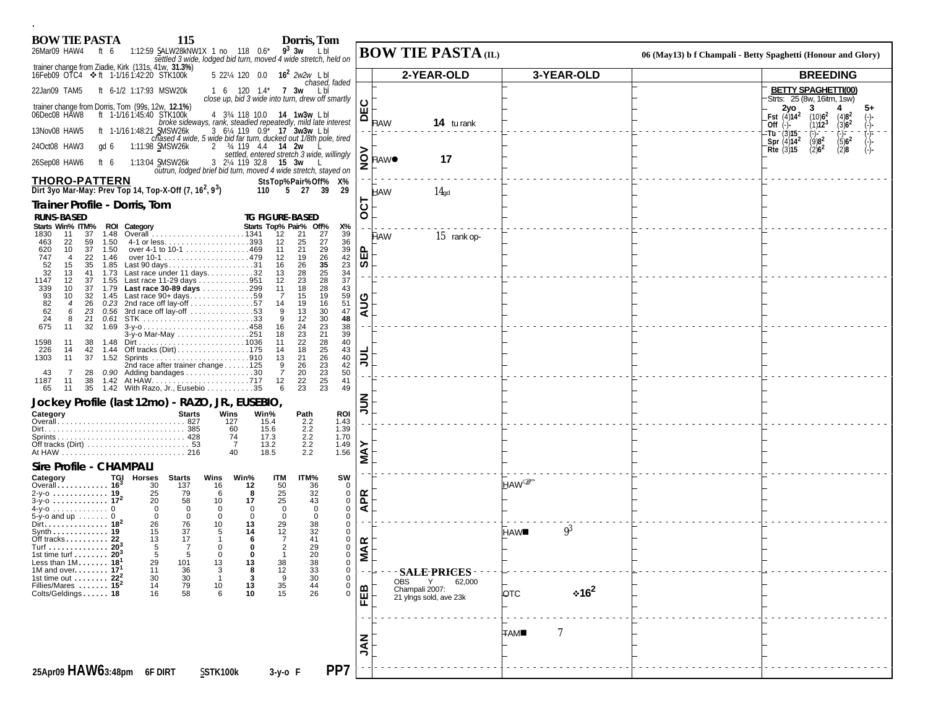| 1:12:59 SALW28kNW1X 1 no 118 $0.6^*$ 9 <sup>3</sup> 3w L bl<br>settled 3 wide, lodged bid turn, moved 4 wide stretch, held on<br>06 (May13) b f Champali - Betty Spaghetti (Honour and Glory)<br>trainer change from Ziadie, Kirk (131s, 41w, 31.3%)<br>5 221/4 120 0.0 16 <sup>2</sup> 2w2w Lbl<br>2-YEAR-OLD<br>3-YEAR-OLD<br>16Feb09 OTC4 ❖ ft 1-1/16 1:42:20 STK100k<br><b>BREEDING</b><br>chased, faded<br><b>BETTY SPAGHETTI(00)</b><br>22Jan09 TAM5<br>ft 6-1/2 1:17:93 MSW20k<br>1 6 120 1.4* <b>7 3w</b> Lbl<br>Strts: 25 (8w, 16itm, 1sw)<br>close up, bid 3 wide into turn, drew off smartly<br>ပ<br>trainer change from Dorris, Tom (99s, 12w, 12.1%)<br>2yo .<br>3<br>ш<br>4 334 118 10.0 14 1w3w Lbl<br>ft 1-1/161:45:40 STK100k<br>Fst $(4)14^2$ $(10)6^2$<br>$(4)82$<br>$(3)62$<br>≏<br>broke sideways, rank, steadied repeatedly, mild late interest<br>14 tu rank<br><b>HAW</b><br>$(1)12^3$<br>Off $(-)$<br>ft 1-1/16 1:48:21 SMSW26k<br>3 6 <sup>1</sup> / <sub>4</sub> 119 0.9 <sup>*</sup> <b>17 3w3w</b> Lbl<br>13Nov08 HAW5<br>-Tu <sup>-</sup> (3)15-<br>_Spr (4)14 <sup>2</sup><br>chased 4 wide, 5 wide bid far turn, ducked out 1/8th pole, tired<br>$(9)8^2$<br>$(5)6^2$<br>2 34 119 4.4 <b>14 2w</b><br>24Oct08 HAW3<br>1:11:98 SMSW26k<br>qd 6<br>$(2)6^2$<br>(2)8<br>Rte $(3)$ 15<br>settled, entered stretch 3 wide, willingly<br>O HAW <sup>O</sup><br>17<br>3 21/4 119 32.8 15 3w L<br>26Sep08 HAW6<br>1:13:04 SMSW26k<br>ft 6<br>z<br>outrun, lodged brief bid turn, moved 4 wide stretch, stayed on<br><b>THORO-PATTERN</b><br>StsTop%Pair%Off% X%<br>Dirt 3yo Mar-May: Prev Top 14, Top-X-Off $(7, 16^2, 9^3)$<br>110 5 27 39<br>-29<br>14 <sub>gd</sub><br><b>HAW</b><br>ငွ<br>Trainer Profile - Dorris, Tom<br><b>TG FIGURE-BASED</b><br><b>RUNS-BASED</b><br>Starts Top% Pair% Off%<br>Starts Win% ITM% ROI Category<br>Χ%<br>37<br>1.48<br>12<br>21<br>27<br>39<br>1830<br>11<br><b>HAW</b><br>15 rank op-<br>4-1 or less393<br>12<br>25<br>$\substack{27 \\ 29}$<br>36<br>463<br>22<br>59<br>1.50<br>$\frac{39}{42}$<br>37<br>620<br>10<br>1.50<br>over 4-1 to 10-1 469<br>11<br>21<br>E<br>26<br>747<br>22<br>1.46<br>12<br>19<br>$\overline{4}$<br>35<br>23<br>ທ<br>Last 90 days31<br>26<br>52<br>15<br>35<br>1.85<br>16<br>$\substack{25 \\ 28}$<br>$\begin{array}{c} 34 \\ 37 \end{array}$<br>32<br>Last race under 11 days32<br>28<br>13<br>41<br>1.73<br>13<br>12<br>23<br>1147<br>37<br>Last race 11-29 days 951<br>12<br>1.55<br>28<br>1.79 Last race 30-89 days 299<br>18<br>43<br>339<br>10<br>37<br>11<br>$\frac{93}{82}$<br>62<br>Last race $90+ days$ 59<br>15<br>19<br>59<br>10<br>32<br>1.45<br>-7<br><b>AUG</b><br>51<br>19<br>16<br>26<br>$\overline{4}$<br>0.23<br>14<br>30<br>3rd race off lay-off 53<br>13<br>47<br>6<br>23<br>0.56<br>9<br>30<br>24<br>12<br>48<br>8<br>21<br>0.61<br>9<br>23<br>675<br>38<br>32<br>1.69<br>24<br>11<br>$3-y$ -0458<br>16<br>3-y-o Mar-May 251<br>23<br>21<br>39<br>18<br>$\substack{28 \\ 25}$<br>22<br>40<br>1598<br>11<br>38<br>11<br>1.48<br>43<br>18<br>226<br>42<br>Off tracks $(Dirt) \ldots \ldots \ldots \ldots \ldots 175$<br>14<br>1.44<br>14<br>$\frac{1}{2}$<br>$\frac{26}{23}$<br>23<br>$\frac{40}{42}$<br>50<br>37<br>21<br>1303<br>11<br>1.52<br>13<br>$\frac{26}{20}$<br>2nd race after trainer change 125<br>9<br>$\overline{7}$<br>0.90 Adding bandages 30<br>28<br>43<br>25<br>22<br>41<br>1187<br>38<br>12<br>11<br>1.42 With Razo, Jr., Eusebio 35<br>23<br>23<br>65<br>35<br>6<br>49<br>11<br>ミミ<br>Jockey Profile (last 12mo) - RAZO, JR., EUSEBIO,<br>Category<br><b>Starts</b><br>Wins<br>Win%<br>ROI<br>Path<br>2.2<br>1.43<br>127<br>15.4<br>2.2<br>1.39<br>60<br>15.6<br>2.2<br>74<br>17.3<br>1.70<br>2.2<br>-7<br>13.2<br>1.49<br>$\sum_{i=1}^{n}$<br>1.56<br>2.2<br>40<br>18.5<br>Sire Profile - CHAMPALI<br>TGI Horses<br><b>Starts</b><br>Wins<br>Win%<br><b>ITM</b><br>ITM%<br>SW<br>Category<br><b>HAW</b><br>Overall 16 <sup>3</sup><br>12<br>50<br>36<br>30<br>137<br>16<br>$\Omega$<br>$\begin{array}{c} 25 \\ 25 \end{array}$<br>$\frac{32}{43}$<br>25<br>79<br>6<br>0<br>8<br><b>APR</b><br>20<br>58<br>0<br>10<br>17<br>$\overline{0}$<br>$\mathbf 0$<br>$\mathbf 0$<br>$\mathbf 0$<br>$\overline{0}$<br>$\mathbf 0$<br>$\mathbf{0}$<br>$\mathbf 0$<br>$\mathbf 0$<br>$\mathbf 0$<br>$\overline{0}$<br>$\mathbf 0$<br>$5-y$ -o and up  0<br>$\mathbf{0}$<br>$\mathbf 0$<br>Dirt. 18 <sup>2</sup><br>13<br>29<br>38<br>26<br>76<br>10<br>0<br>$9^3$<br>37<br>14<br>$\frac{12}{7}$<br>32<br>Synth 19<br>15<br>5<br>$\mathbf 0$<br><b>HAW</b><br>17<br>41<br>Off tracks 22<br>13<br>6<br>0<br><b>VIAR</b><br>5<br>$\overline{2}$<br>29<br>Turf 20 <sup>3</sup><br>$\overline{7}$<br>$\Omega$<br>0<br>$\Omega$<br>5<br>$\Omega$<br>20<br>$\mathbf 0$<br>5<br>$\Omega$<br>Less than $1M$ 18<br>29<br>101<br>13<br>13<br>38<br>38<br>33<br>30<br>44<br>44<br>26<br>0<br>36<br>30<br>79<br>58<br>$\mathbf{3}$<br>12<br>$\mathbf 0$<br>11<br><b>SALE-PRICES</b><br>1st time out $\dots \dots$ 22 <sup>2</sup><br>30<br>$\begin{array}{c} 9 \\ 35 \\ 15 \end{array}$<br>0<br>$\overline{1}$<br>62,000<br><b>OBS</b><br>Fillies/Mares  15 <sup>2</sup><br>14<br>$\begin{array}{c} 10 \\ 6 \end{array}$<br>13<br>10<br>0<br>FEB<br>Champali 2007:<br>$*16^2$<br><b>OTC</b><br>16<br>$\mathbf 0$<br>21 yings sold, ave 23k<br>7<br><b>TAM</b><br><b>NAL</b> | 115<br>Dorris, Tom<br><b>BOW TIE PASTA</b><br>26Mar09 HAW4<br>ft 6 | <b>BOW TIE PASTA (IL)</b> |  |  |
|------------------------------------------------------------------------------------------------------------------------------------------------------------------------------------------------------------------------------------------------------------------------------------------------------------------------------------------------------------------------------------------------------------------------------------------------------------------------------------------------------------------------------------------------------------------------------------------------------------------------------------------------------------------------------------------------------------------------------------------------------------------------------------------------------------------------------------------------------------------------------------------------------------------------------------------------------------------------------------------------------------------------------------------------------------------------------------------------------------------------------------------------------------------------------------------------------------------------------------------------------------------------------------------------------------------------------------------------------------------------------------------------------------------------------------------------------------------------------------------------------------------------------------------------------------------------------------------------------------------------------------------------------------------------------------------------------------------------------------------------------------------------------------------------------------------------------------------------------------------------------------------------------------------------------------------------------------------------------------------------------------------------------------------------------------------------------------------------------------------------------------------------------------------------------------------------------------------------------------------------------------------------------------------------------------------------------------------------------------------------------------------------------------------------------------------------------------------------------------------------------------------------------------------------------------------------------------------------------------------------------------------------------------------------------------------------------------------------------------------------------------------------------------------------------------------------------------------------------------------------------------------------------------------------------------------------------------------------------------------------------------------------------------------------------------------------------------------------------------------------------------------------------------------------------------------------------------------------------------------------------------------------------------------------------------------------------------------------------------------------------------------------------------------------------------------------------------------------------------------------------------------------------------------------------------------------------------------------------------------------------------------------------------------------------------------------------------------------------------------------------------------------------------------------------------------------------------------------------------------------------------------------------------------------------------------------------------------------------------------------------------------------------------------------------------------------------------------------------------------------------------------------------------------------------------------------------------------------------------------------------------------------------------------------------------------------------------------------------------------------------------------------------------------------------------------------------------------------------------------------------------------------------------------------------------------------------------------------------------------------------------------------------------------------------------------------------------------------------------------------------------------------------------------------------------------------------------------------------------------------------------------------------------------------------------------------------------------------------------------------------------------------------------------------------------------------------------------------------------------------------------------------------------------------------------------------------------------------------------------------------------------------------------------------------------------------------------------------------------------------------------------|--------------------------------------------------------------------|---------------------------|--|--|
|                                                                                                                                                                                                                                                                                                                                                                                                                                                                                                                                                                                                                                                                                                                                                                                                                                                                                                                                                                                                                                                                                                                                                                                                                                                                                                                                                                                                                                                                                                                                                                                                                                                                                                                                                                                                                                                                                                                                                                                                                                                                                                                                                                                                                                                                                                                                                                                                                                                                                                                                                                                                                                                                                                                                                                                                                                                                                                                                                                                                                                                                                                                                                                                                                                                                                                                                                                                                                                                                                                                                                                                                                                                                                                                                                                                                                                                                                                                                                                                                                                                                                                                                                                                                                                                                                                                                                                                                                                                                                                                                                                                                                                                                                                                                                                                                                                                                                                                                                                                                                                                                                                                                                                                                                                                                                                                                                                                          |                                                                    |                           |  |  |
|                                                                                                                                                                                                                                                                                                                                                                                                                                                                                                                                                                                                                                                                                                                                                                                                                                                                                                                                                                                                                                                                                                                                                                                                                                                                                                                                                                                                                                                                                                                                                                                                                                                                                                                                                                                                                                                                                                                                                                                                                                                                                                                                                                                                                                                                                                                                                                                                                                                                                                                                                                                                                                                                                                                                                                                                                                                                                                                                                                                                                                                                                                                                                                                                                                                                                                                                                                                                                                                                                                                                                                                                                                                                                                                                                                                                                                                                                                                                                                                                                                                                                                                                                                                                                                                                                                                                                                                                                                                                                                                                                                                                                                                                                                                                                                                                                                                                                                                                                                                                                                                                                                                                                                                                                                                                                                                                                                                          |                                                                    |                           |  |  |
|                                                                                                                                                                                                                                                                                                                                                                                                                                                                                                                                                                                                                                                                                                                                                                                                                                                                                                                                                                                                                                                                                                                                                                                                                                                                                                                                                                                                                                                                                                                                                                                                                                                                                                                                                                                                                                                                                                                                                                                                                                                                                                                                                                                                                                                                                                                                                                                                                                                                                                                                                                                                                                                                                                                                                                                                                                                                                                                                                                                                                                                                                                                                                                                                                                                                                                                                                                                                                                                                                                                                                                                                                                                                                                                                                                                                                                                                                                                                                                                                                                                                                                                                                                                                                                                                                                                                                                                                                                                                                                                                                                                                                                                                                                                                                                                                                                                                                                                                                                                                                                                                                                                                                                                                                                                                                                                                                                                          |                                                                    |                           |  |  |
|                                                                                                                                                                                                                                                                                                                                                                                                                                                                                                                                                                                                                                                                                                                                                                                                                                                                                                                                                                                                                                                                                                                                                                                                                                                                                                                                                                                                                                                                                                                                                                                                                                                                                                                                                                                                                                                                                                                                                                                                                                                                                                                                                                                                                                                                                                                                                                                                                                                                                                                                                                                                                                                                                                                                                                                                                                                                                                                                                                                                                                                                                                                                                                                                                                                                                                                                                                                                                                                                                                                                                                                                                                                                                                                                                                                                                                                                                                                                                                                                                                                                                                                                                                                                                                                                                                                                                                                                                                                                                                                                                                                                                                                                                                                                                                                                                                                                                                                                                                                                                                                                                                                                                                                                                                                                                                                                                                                          | 06Dec08 HAW8                                                       |                           |  |  |
|                                                                                                                                                                                                                                                                                                                                                                                                                                                                                                                                                                                                                                                                                                                                                                                                                                                                                                                                                                                                                                                                                                                                                                                                                                                                                                                                                                                                                                                                                                                                                                                                                                                                                                                                                                                                                                                                                                                                                                                                                                                                                                                                                                                                                                                                                                                                                                                                                                                                                                                                                                                                                                                                                                                                                                                                                                                                                                                                                                                                                                                                                                                                                                                                                                                                                                                                                                                                                                                                                                                                                                                                                                                                                                                                                                                                                                                                                                                                                                                                                                                                                                                                                                                                                                                                                                                                                                                                                                                                                                                                                                                                                                                                                                                                                                                                                                                                                                                                                                                                                                                                                                                                                                                                                                                                                                                                                                                          |                                                                    |                           |  |  |
|                                                                                                                                                                                                                                                                                                                                                                                                                                                                                                                                                                                                                                                                                                                                                                                                                                                                                                                                                                                                                                                                                                                                                                                                                                                                                                                                                                                                                                                                                                                                                                                                                                                                                                                                                                                                                                                                                                                                                                                                                                                                                                                                                                                                                                                                                                                                                                                                                                                                                                                                                                                                                                                                                                                                                                                                                                                                                                                                                                                                                                                                                                                                                                                                                                                                                                                                                                                                                                                                                                                                                                                                                                                                                                                                                                                                                                                                                                                                                                                                                                                                                                                                                                                                                                                                                                                                                                                                                                                                                                                                                                                                                                                                                                                                                                                                                                                                                                                                                                                                                                                                                                                                                                                                                                                                                                                                                                                          |                                                                    |                           |  |  |
|                                                                                                                                                                                                                                                                                                                                                                                                                                                                                                                                                                                                                                                                                                                                                                                                                                                                                                                                                                                                                                                                                                                                                                                                                                                                                                                                                                                                                                                                                                                                                                                                                                                                                                                                                                                                                                                                                                                                                                                                                                                                                                                                                                                                                                                                                                                                                                                                                                                                                                                                                                                                                                                                                                                                                                                                                                                                                                                                                                                                                                                                                                                                                                                                                                                                                                                                                                                                                                                                                                                                                                                                                                                                                                                                                                                                                                                                                                                                                                                                                                                                                                                                                                                                                                                                                                                                                                                                                                                                                                                                                                                                                                                                                                                                                                                                                                                                                                                                                                                                                                                                                                                                                                                                                                                                                                                                                                                          |                                                                    |                           |  |  |
|                                                                                                                                                                                                                                                                                                                                                                                                                                                                                                                                                                                                                                                                                                                                                                                                                                                                                                                                                                                                                                                                                                                                                                                                                                                                                                                                                                                                                                                                                                                                                                                                                                                                                                                                                                                                                                                                                                                                                                                                                                                                                                                                                                                                                                                                                                                                                                                                                                                                                                                                                                                                                                                                                                                                                                                                                                                                                                                                                                                                                                                                                                                                                                                                                                                                                                                                                                                                                                                                                                                                                                                                                                                                                                                                                                                                                                                                                                                                                                                                                                                                                                                                                                                                                                                                                                                                                                                                                                                                                                                                                                                                                                                                                                                                                                                                                                                                                                                                                                                                                                                                                                                                                                                                                                                                                                                                                                                          |                                                                    |                           |  |  |
|                                                                                                                                                                                                                                                                                                                                                                                                                                                                                                                                                                                                                                                                                                                                                                                                                                                                                                                                                                                                                                                                                                                                                                                                                                                                                                                                                                                                                                                                                                                                                                                                                                                                                                                                                                                                                                                                                                                                                                                                                                                                                                                                                                                                                                                                                                                                                                                                                                                                                                                                                                                                                                                                                                                                                                                                                                                                                                                                                                                                                                                                                                                                                                                                                                                                                                                                                                                                                                                                                                                                                                                                                                                                                                                                                                                                                                                                                                                                                                                                                                                                                                                                                                                                                                                                                                                                                                                                                                                                                                                                                                                                                                                                                                                                                                                                                                                                                                                                                                                                                                                                                                                                                                                                                                                                                                                                                                                          |                                                                    |                           |  |  |
|                                                                                                                                                                                                                                                                                                                                                                                                                                                                                                                                                                                                                                                                                                                                                                                                                                                                                                                                                                                                                                                                                                                                                                                                                                                                                                                                                                                                                                                                                                                                                                                                                                                                                                                                                                                                                                                                                                                                                                                                                                                                                                                                                                                                                                                                                                                                                                                                                                                                                                                                                                                                                                                                                                                                                                                                                                                                                                                                                                                                                                                                                                                                                                                                                                                                                                                                                                                                                                                                                                                                                                                                                                                                                                                                                                                                                                                                                                                                                                                                                                                                                                                                                                                                                                                                                                                                                                                                                                                                                                                                                                                                                                                                                                                                                                                                                                                                                                                                                                                                                                                                                                                                                                                                                                                                                                                                                                                          |                                                                    |                           |  |  |
|                                                                                                                                                                                                                                                                                                                                                                                                                                                                                                                                                                                                                                                                                                                                                                                                                                                                                                                                                                                                                                                                                                                                                                                                                                                                                                                                                                                                                                                                                                                                                                                                                                                                                                                                                                                                                                                                                                                                                                                                                                                                                                                                                                                                                                                                                                                                                                                                                                                                                                                                                                                                                                                                                                                                                                                                                                                                                                                                                                                                                                                                                                                                                                                                                                                                                                                                                                                                                                                                                                                                                                                                                                                                                                                                                                                                                                                                                                                                                                                                                                                                                                                                                                                                                                                                                                                                                                                                                                                                                                                                                                                                                                                                                                                                                                                                                                                                                                                                                                                                                                                                                                                                                                                                                                                                                                                                                                                          |                                                                    |                           |  |  |
|                                                                                                                                                                                                                                                                                                                                                                                                                                                                                                                                                                                                                                                                                                                                                                                                                                                                                                                                                                                                                                                                                                                                                                                                                                                                                                                                                                                                                                                                                                                                                                                                                                                                                                                                                                                                                                                                                                                                                                                                                                                                                                                                                                                                                                                                                                                                                                                                                                                                                                                                                                                                                                                                                                                                                                                                                                                                                                                                                                                                                                                                                                                                                                                                                                                                                                                                                                                                                                                                                                                                                                                                                                                                                                                                                                                                                                                                                                                                                                                                                                                                                                                                                                                                                                                                                                                                                                                                                                                                                                                                                                                                                                                                                                                                                                                                                                                                                                                                                                                                                                                                                                                                                                                                                                                                                                                                                                                          |                                                                    |                           |  |  |
|                                                                                                                                                                                                                                                                                                                                                                                                                                                                                                                                                                                                                                                                                                                                                                                                                                                                                                                                                                                                                                                                                                                                                                                                                                                                                                                                                                                                                                                                                                                                                                                                                                                                                                                                                                                                                                                                                                                                                                                                                                                                                                                                                                                                                                                                                                                                                                                                                                                                                                                                                                                                                                                                                                                                                                                                                                                                                                                                                                                                                                                                                                                                                                                                                                                                                                                                                                                                                                                                                                                                                                                                                                                                                                                                                                                                                                                                                                                                                                                                                                                                                                                                                                                                                                                                                                                                                                                                                                                                                                                                                                                                                                                                                                                                                                                                                                                                                                                                                                                                                                                                                                                                                                                                                                                                                                                                                                                          |                                                                    |                           |  |  |
|                                                                                                                                                                                                                                                                                                                                                                                                                                                                                                                                                                                                                                                                                                                                                                                                                                                                                                                                                                                                                                                                                                                                                                                                                                                                                                                                                                                                                                                                                                                                                                                                                                                                                                                                                                                                                                                                                                                                                                                                                                                                                                                                                                                                                                                                                                                                                                                                                                                                                                                                                                                                                                                                                                                                                                                                                                                                                                                                                                                                                                                                                                                                                                                                                                                                                                                                                                                                                                                                                                                                                                                                                                                                                                                                                                                                                                                                                                                                                                                                                                                                                                                                                                                                                                                                                                                                                                                                                                                                                                                                                                                                                                                                                                                                                                                                                                                                                                                                                                                                                                                                                                                                                                                                                                                                                                                                                                                          |                                                                    |                           |  |  |
|                                                                                                                                                                                                                                                                                                                                                                                                                                                                                                                                                                                                                                                                                                                                                                                                                                                                                                                                                                                                                                                                                                                                                                                                                                                                                                                                                                                                                                                                                                                                                                                                                                                                                                                                                                                                                                                                                                                                                                                                                                                                                                                                                                                                                                                                                                                                                                                                                                                                                                                                                                                                                                                                                                                                                                                                                                                                                                                                                                                                                                                                                                                                                                                                                                                                                                                                                                                                                                                                                                                                                                                                                                                                                                                                                                                                                                                                                                                                                                                                                                                                                                                                                                                                                                                                                                                                                                                                                                                                                                                                                                                                                                                                                                                                                                                                                                                                                                                                                                                                                                                                                                                                                                                                                                                                                                                                                                                          |                                                                    |                           |  |  |
|                                                                                                                                                                                                                                                                                                                                                                                                                                                                                                                                                                                                                                                                                                                                                                                                                                                                                                                                                                                                                                                                                                                                                                                                                                                                                                                                                                                                                                                                                                                                                                                                                                                                                                                                                                                                                                                                                                                                                                                                                                                                                                                                                                                                                                                                                                                                                                                                                                                                                                                                                                                                                                                                                                                                                                                                                                                                                                                                                                                                                                                                                                                                                                                                                                                                                                                                                                                                                                                                                                                                                                                                                                                                                                                                                                                                                                                                                                                                                                                                                                                                                                                                                                                                                                                                                                                                                                                                                                                                                                                                                                                                                                                                                                                                                                                                                                                                                                                                                                                                                                                                                                                                                                                                                                                                                                                                                                                          |                                                                    |                           |  |  |
|                                                                                                                                                                                                                                                                                                                                                                                                                                                                                                                                                                                                                                                                                                                                                                                                                                                                                                                                                                                                                                                                                                                                                                                                                                                                                                                                                                                                                                                                                                                                                                                                                                                                                                                                                                                                                                                                                                                                                                                                                                                                                                                                                                                                                                                                                                                                                                                                                                                                                                                                                                                                                                                                                                                                                                                                                                                                                                                                                                                                                                                                                                                                                                                                                                                                                                                                                                                                                                                                                                                                                                                                                                                                                                                                                                                                                                                                                                                                                                                                                                                                                                                                                                                                                                                                                                                                                                                                                                                                                                                                                                                                                                                                                                                                                                                                                                                                                                                                                                                                                                                                                                                                                                                                                                                                                                                                                                                          |                                                                    |                           |  |  |
|                                                                                                                                                                                                                                                                                                                                                                                                                                                                                                                                                                                                                                                                                                                                                                                                                                                                                                                                                                                                                                                                                                                                                                                                                                                                                                                                                                                                                                                                                                                                                                                                                                                                                                                                                                                                                                                                                                                                                                                                                                                                                                                                                                                                                                                                                                                                                                                                                                                                                                                                                                                                                                                                                                                                                                                                                                                                                                                                                                                                                                                                                                                                                                                                                                                                                                                                                                                                                                                                                                                                                                                                                                                                                                                                                                                                                                                                                                                                                                                                                                                                                                                                                                                                                                                                                                                                                                                                                                                                                                                                                                                                                                                                                                                                                                                                                                                                                                                                                                                                                                                                                                                                                                                                                                                                                                                                                                                          |                                                                    |                           |  |  |
|                                                                                                                                                                                                                                                                                                                                                                                                                                                                                                                                                                                                                                                                                                                                                                                                                                                                                                                                                                                                                                                                                                                                                                                                                                                                                                                                                                                                                                                                                                                                                                                                                                                                                                                                                                                                                                                                                                                                                                                                                                                                                                                                                                                                                                                                                                                                                                                                                                                                                                                                                                                                                                                                                                                                                                                                                                                                                                                                                                                                                                                                                                                                                                                                                                                                                                                                                                                                                                                                                                                                                                                                                                                                                                                                                                                                                                                                                                                                                                                                                                                                                                                                                                                                                                                                                                                                                                                                                                                                                                                                                                                                                                                                                                                                                                                                                                                                                                                                                                                                                                                                                                                                                                                                                                                                                                                                                                                          |                                                                    |                           |  |  |
|                                                                                                                                                                                                                                                                                                                                                                                                                                                                                                                                                                                                                                                                                                                                                                                                                                                                                                                                                                                                                                                                                                                                                                                                                                                                                                                                                                                                                                                                                                                                                                                                                                                                                                                                                                                                                                                                                                                                                                                                                                                                                                                                                                                                                                                                                                                                                                                                                                                                                                                                                                                                                                                                                                                                                                                                                                                                                                                                                                                                                                                                                                                                                                                                                                                                                                                                                                                                                                                                                                                                                                                                                                                                                                                                                                                                                                                                                                                                                                                                                                                                                                                                                                                                                                                                                                                                                                                                                                                                                                                                                                                                                                                                                                                                                                                                                                                                                                                                                                                                                                                                                                                                                                                                                                                                                                                                                                                          |                                                                    |                           |  |  |
|                                                                                                                                                                                                                                                                                                                                                                                                                                                                                                                                                                                                                                                                                                                                                                                                                                                                                                                                                                                                                                                                                                                                                                                                                                                                                                                                                                                                                                                                                                                                                                                                                                                                                                                                                                                                                                                                                                                                                                                                                                                                                                                                                                                                                                                                                                                                                                                                                                                                                                                                                                                                                                                                                                                                                                                                                                                                                                                                                                                                                                                                                                                                                                                                                                                                                                                                                                                                                                                                                                                                                                                                                                                                                                                                                                                                                                                                                                                                                                                                                                                                                                                                                                                                                                                                                                                                                                                                                                                                                                                                                                                                                                                                                                                                                                                                                                                                                                                                                                                                                                                                                                                                                                                                                                                                                                                                                                                          | Sprints 428                                                        |                           |  |  |
|                                                                                                                                                                                                                                                                                                                                                                                                                                                                                                                                                                                                                                                                                                                                                                                                                                                                                                                                                                                                                                                                                                                                                                                                                                                                                                                                                                                                                                                                                                                                                                                                                                                                                                                                                                                                                                                                                                                                                                                                                                                                                                                                                                                                                                                                                                                                                                                                                                                                                                                                                                                                                                                                                                                                                                                                                                                                                                                                                                                                                                                                                                                                                                                                                                                                                                                                                                                                                                                                                                                                                                                                                                                                                                                                                                                                                                                                                                                                                                                                                                                                                                                                                                                                                                                                                                                                                                                                                                                                                                                                                                                                                                                                                                                                                                                                                                                                                                                                                                                                                                                                                                                                                                                                                                                                                                                                                                                          |                                                                    |                           |  |  |
|                                                                                                                                                                                                                                                                                                                                                                                                                                                                                                                                                                                                                                                                                                                                                                                                                                                                                                                                                                                                                                                                                                                                                                                                                                                                                                                                                                                                                                                                                                                                                                                                                                                                                                                                                                                                                                                                                                                                                                                                                                                                                                                                                                                                                                                                                                                                                                                                                                                                                                                                                                                                                                                                                                                                                                                                                                                                                                                                                                                                                                                                                                                                                                                                                                                                                                                                                                                                                                                                                                                                                                                                                                                                                                                                                                                                                                                                                                                                                                                                                                                                                                                                                                                                                                                                                                                                                                                                                                                                                                                                                                                                                                                                                                                                                                                                                                                                                                                                                                                                                                                                                                                                                                                                                                                                                                                                                                                          |                                                                    |                           |  |  |
|                                                                                                                                                                                                                                                                                                                                                                                                                                                                                                                                                                                                                                                                                                                                                                                                                                                                                                                                                                                                                                                                                                                                                                                                                                                                                                                                                                                                                                                                                                                                                                                                                                                                                                                                                                                                                                                                                                                                                                                                                                                                                                                                                                                                                                                                                                                                                                                                                                                                                                                                                                                                                                                                                                                                                                                                                                                                                                                                                                                                                                                                                                                                                                                                                                                                                                                                                                                                                                                                                                                                                                                                                                                                                                                                                                                                                                                                                                                                                                                                                                                                                                                                                                                                                                                                                                                                                                                                                                                                                                                                                                                                                                                                                                                                                                                                                                                                                                                                                                                                                                                                                                                                                                                                                                                                                                                                                                                          | $2-y$ -0  19<br>$3-y-0$ 17 <sup>2</sup>                            |                           |  |  |
|                                                                                                                                                                                                                                                                                                                                                                                                                                                                                                                                                                                                                                                                                                                                                                                                                                                                                                                                                                                                                                                                                                                                                                                                                                                                                                                                                                                                                                                                                                                                                                                                                                                                                                                                                                                                                                                                                                                                                                                                                                                                                                                                                                                                                                                                                                                                                                                                                                                                                                                                                                                                                                                                                                                                                                                                                                                                                                                                                                                                                                                                                                                                                                                                                                                                                                                                                                                                                                                                                                                                                                                                                                                                                                                                                                                                                                                                                                                                                                                                                                                                                                                                                                                                                                                                                                                                                                                                                                                                                                                                                                                                                                                                                                                                                                                                                                                                                                                                                                                                                                                                                                                                                                                                                                                                                                                                                                                          |                                                                    |                           |  |  |
|                                                                                                                                                                                                                                                                                                                                                                                                                                                                                                                                                                                                                                                                                                                                                                                                                                                                                                                                                                                                                                                                                                                                                                                                                                                                                                                                                                                                                                                                                                                                                                                                                                                                                                                                                                                                                                                                                                                                                                                                                                                                                                                                                                                                                                                                                                                                                                                                                                                                                                                                                                                                                                                                                                                                                                                                                                                                                                                                                                                                                                                                                                                                                                                                                                                                                                                                                                                                                                                                                                                                                                                                                                                                                                                                                                                                                                                                                                                                                                                                                                                                                                                                                                                                                                                                                                                                                                                                                                                                                                                                                                                                                                                                                                                                                                                                                                                                                                                                                                                                                                                                                                                                                                                                                                                                                                                                                                                          |                                                                    |                           |  |  |
|                                                                                                                                                                                                                                                                                                                                                                                                                                                                                                                                                                                                                                                                                                                                                                                                                                                                                                                                                                                                                                                                                                                                                                                                                                                                                                                                                                                                                                                                                                                                                                                                                                                                                                                                                                                                                                                                                                                                                                                                                                                                                                                                                                                                                                                                                                                                                                                                                                                                                                                                                                                                                                                                                                                                                                                                                                                                                                                                                                                                                                                                                                                                                                                                                                                                                                                                                                                                                                                                                                                                                                                                                                                                                                                                                                                                                                                                                                                                                                                                                                                                                                                                                                                                                                                                                                                                                                                                                                                                                                                                                                                                                                                                                                                                                                                                                                                                                                                                                                                                                                                                                                                                                                                                                                                                                                                                                                                          | 1st time turf  20 <sup>3</sup>                                     |                           |  |  |
|                                                                                                                                                                                                                                                                                                                                                                                                                                                                                                                                                                                                                                                                                                                                                                                                                                                                                                                                                                                                                                                                                                                                                                                                                                                                                                                                                                                                                                                                                                                                                                                                                                                                                                                                                                                                                                                                                                                                                                                                                                                                                                                                                                                                                                                                                                                                                                                                                                                                                                                                                                                                                                                                                                                                                                                                                                                                                                                                                                                                                                                                                                                                                                                                                                                                                                                                                                                                                                                                                                                                                                                                                                                                                                                                                                                                                                                                                                                                                                                                                                                                                                                                                                                                                                                                                                                                                                                                                                                                                                                                                                                                                                                                                                                                                                                                                                                                                                                                                                                                                                                                                                                                                                                                                                                                                                                                                                                          | 1M and over $17$                                                   |                           |  |  |
|                                                                                                                                                                                                                                                                                                                                                                                                                                                                                                                                                                                                                                                                                                                                                                                                                                                                                                                                                                                                                                                                                                                                                                                                                                                                                                                                                                                                                                                                                                                                                                                                                                                                                                                                                                                                                                                                                                                                                                                                                                                                                                                                                                                                                                                                                                                                                                                                                                                                                                                                                                                                                                                                                                                                                                                                                                                                                                                                                                                                                                                                                                                                                                                                                                                                                                                                                                                                                                                                                                                                                                                                                                                                                                                                                                                                                                                                                                                                                                                                                                                                                                                                                                                                                                                                                                                                                                                                                                                                                                                                                                                                                                                                                                                                                                                                                                                                                                                                                                                                                                                                                                                                                                                                                                                                                                                                                                                          | Colts/Geldings 18                                                  |                           |  |  |
|                                                                                                                                                                                                                                                                                                                                                                                                                                                                                                                                                                                                                                                                                                                                                                                                                                                                                                                                                                                                                                                                                                                                                                                                                                                                                                                                                                                                                                                                                                                                                                                                                                                                                                                                                                                                                                                                                                                                                                                                                                                                                                                                                                                                                                                                                                                                                                                                                                                                                                                                                                                                                                                                                                                                                                                                                                                                                                                                                                                                                                                                                                                                                                                                                                                                                                                                                                                                                                                                                                                                                                                                                                                                                                                                                                                                                                                                                                                                                                                                                                                                                                                                                                                                                                                                                                                                                                                                                                                                                                                                                                                                                                                                                                                                                                                                                                                                                                                                                                                                                                                                                                                                                                                                                                                                                                                                                                                          |                                                                    |                           |  |  |
|                                                                                                                                                                                                                                                                                                                                                                                                                                                                                                                                                                                                                                                                                                                                                                                                                                                                                                                                                                                                                                                                                                                                                                                                                                                                                                                                                                                                                                                                                                                                                                                                                                                                                                                                                                                                                                                                                                                                                                                                                                                                                                                                                                                                                                                                                                                                                                                                                                                                                                                                                                                                                                                                                                                                                                                                                                                                                                                                                                                                                                                                                                                                                                                                                                                                                                                                                                                                                                                                                                                                                                                                                                                                                                                                                                                                                                                                                                                                                                                                                                                                                                                                                                                                                                                                                                                                                                                                                                                                                                                                                                                                                                                                                                                                                                                                                                                                                                                                                                                                                                                                                                                                                                                                                                                                                                                                                                                          |                                                                    |                           |  |  |
|                                                                                                                                                                                                                                                                                                                                                                                                                                                                                                                                                                                                                                                                                                                                                                                                                                                                                                                                                                                                                                                                                                                                                                                                                                                                                                                                                                                                                                                                                                                                                                                                                                                                                                                                                                                                                                                                                                                                                                                                                                                                                                                                                                                                                                                                                                                                                                                                                                                                                                                                                                                                                                                                                                                                                                                                                                                                                                                                                                                                                                                                                                                                                                                                                                                                                                                                                                                                                                                                                                                                                                                                                                                                                                                                                                                                                                                                                                                                                                                                                                                                                                                                                                                                                                                                                                                                                                                                                                                                                                                                                                                                                                                                                                                                                                                                                                                                                                                                                                                                                                                                                                                                                                                                                                                                                                                                                                                          |                                                                    |                           |  |  |
| PP7<br>SSTK100k<br>3-y-o F                                                                                                                                                                                                                                                                                                                                                                                                                                                                                                                                                                                                                                                                                                                                                                                                                                                                                                                                                                                                                                                                                                                                                                                                                                                                                                                                                                                                                                                                                                                                                                                                                                                                                                                                                                                                                                                                                                                                                                                                                                                                                                                                                                                                                                                                                                                                                                                                                                                                                                                                                                                                                                                                                                                                                                                                                                                                                                                                                                                                                                                                                                                                                                                                                                                                                                                                                                                                                                                                                                                                                                                                                                                                                                                                                                                                                                                                                                                                                                                                                                                                                                                                                                                                                                                                                                                                                                                                                                                                                                                                                                                                                                                                                                                                                                                                                                                                                                                                                                                                                                                                                                                                                                                                                                                                                                                                                               | 25Apr09 HAW63:48pm 6F DIRT                                         |                           |  |  |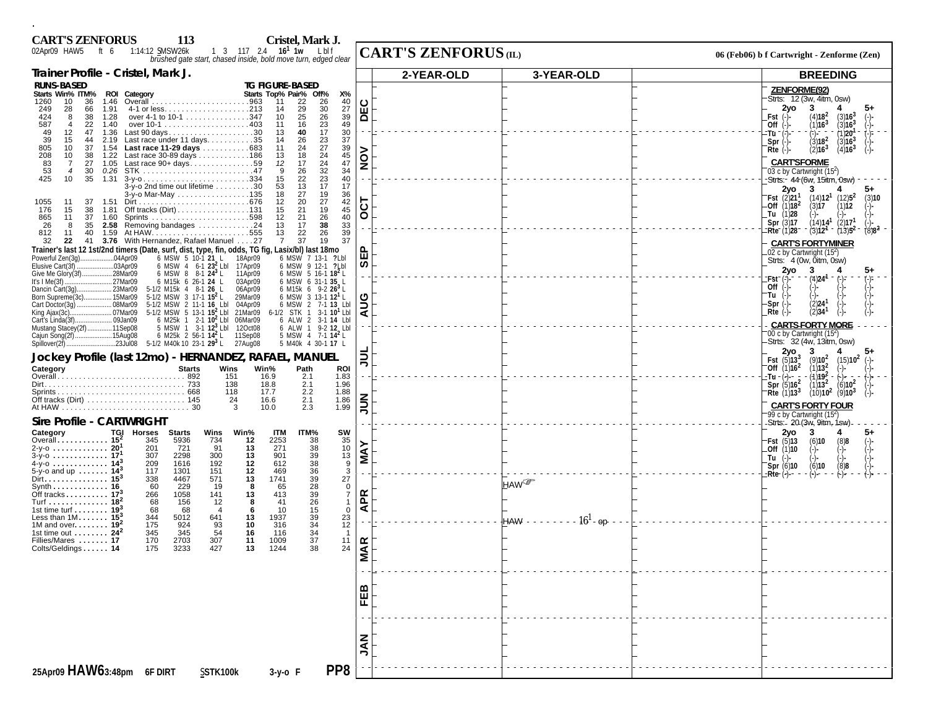| <b>CART'S ZENFORUS</b><br>Cristel, Mark J.<br>113                                                                                                                                                                                                                                                                                                                                                                                                                                                                                                                                                                |                                                                  |                                                                                                                                                                                                                                                                            |
|------------------------------------------------------------------------------------------------------------------------------------------------------------------------------------------------------------------------------------------------------------------------------------------------------------------------------------------------------------------------------------------------------------------------------------------------------------------------------------------------------------------------------------------------------------------------------------------------------------------|------------------------------------------------------------------|----------------------------------------------------------------------------------------------------------------------------------------------------------------------------------------------------------------------------------------------------------------------------|
| 1:14:12 SMSW26k 1 3 117 2.4 16 <sup>1</sup> 1w Lbl f<br>brushed gate start, chased inside, bold move turn, edged clear<br>02Apr09 HAW5 ft 6                                                                                                                                                                                                                                                                                                                                                                                                                                                                      | <b>CART'S ZENFORUS</b> (IL)                                      | 06 (Feb06) b f Cartwright - Zenforme (Zen)                                                                                                                                                                                                                                 |
| Trainer Profile - Cristel, Mark J.                                                                                                                                                                                                                                                                                                                                                                                                                                                                                                                                                                               | 2-YEAR-OLD<br>3-YEAR-OLD                                         | <b>BREEDING</b>                                                                                                                                                                                                                                                            |
| <b>RUNS-BASED</b><br><b>TG FIGURE-BASED</b><br>Starts Win% ITM% ROI Category<br>Starts Top% Pair% Off%<br>Х%<br>26<br>$\frac{40}{27}$<br>10<br>36<br>22<br>1260<br>1.46<br>11<br>30<br>249<br>28<br>66<br>1.91<br>14<br>29<br>39<br>49<br>$\frac{26}{23}$<br>over 4-1 to 10-1 347<br>25<br>424<br>1.28<br>10<br>8<br>38<br>587<br>$\overline{4}$<br>22<br>16<br>1.40<br>-11<br>17<br>30<br>12<br>Last 90 days30<br>40<br>49<br>47<br>1.36<br>13                                                                                                                                                                  | DEC                                                              | <b>ZENFORME(92)</b><br>Strts: 12 (3w, 4itm, 0sw)<br>2yo<br>3<br>(4)18 <sup>2</sup><br>(3)16 <sup>3</sup><br>Fst<br>(1)16 <sup>3</sup><br>(3)16 <sup>3</sup><br>Off $(-)$<br>(1)20<br>:Tū ¯ (:)                                                                             |
| Last race under 11 days35<br>23<br>37<br>39<br>26<br>15<br>44<br>14<br>2.19<br>$^{27}_{24}$<br>Last race 11-29 days 683<br>39<br>45<br>805<br>10<br>37<br>24<br>1.54<br>11<br>Last race 30-89 days 186<br>208<br>10<br>1.22<br>18<br>38<br>13<br>24<br>47<br>17<br>83<br>$\overline{7}$<br>27<br>1.05<br>Last race $90+ days$ 59<br>12<br>$\frac{32}{23}$<br>34<br>53<br>9<br>$\frac{26}{22}$<br>$\overline{4}$<br>30<br>0.26<br>40<br>425<br>10<br>35<br>1.31<br>15                                                                                                                                             | $\frac{5}{2}$                                                    | $\binom{5}{3}$ 18 <sup>2</sup><br>(3)16 <sup>3</sup><br>$Spr$ $(-)$<br>(2)16 <sup>3</sup><br>$Rte$ $(-)$<br>(4)16 <sup>3</sup><br><b>CARTSFORME</b><br>03 c by Cartwright (15 <sup>2</sup> )<br>-Strts:- 44 (6w, 15itm, 0sw)                                               |
| $3-y$ -o 2nd time out lifetime $\ldots \ldots \ldots 30$<br>13<br>17<br>17<br>53<br>27<br>19<br>36<br>3-y-o Mar-May 135<br>18<br>27<br>$\frac{42}{45}$<br>20<br>12<br>1055<br>11<br>37<br>1.51<br>Off tracks (Dirt)131<br>21<br>19<br>176<br>15<br>38<br>1.81<br>15<br>$\frac{40}{33}$<br>$\frac{26}{38}$<br>21<br>11<br>37<br>$12 \overline{ }$<br>865<br>1.60<br>35<br>2.58 Removing bandages $\dots \dots \dots \dots 24$<br>13<br>17<br>26<br>8<br>26<br>22<br>39<br>40<br>13<br>812<br>11                                                                                                                   | 75<br>O                                                          | 2vo<br>3<br>$(14)$ <b>12<sup>1</sup></b> $(12)$ <b>5<sup>2</sup></b><br><b>Fst</b> $(2)21$ <sup>1</sup><br>(3)10<br>Off $(1)18^2$<br>(3)17<br>(1)12<br>Tu $(1)28$<br>(14)14 <sup>1</sup><br>(2)17<br>Spr (3)17<br>Rte (1)28<br>$(8)8^2$<br>$(3)12$ <sup>-1</sup><br>(13)5' |
| 37<br>37<br>41 3.76 With Hernandez, Rafael Manuel 27<br>19<br>32<br>22<br>$\overline{7}$<br>Trainer's last 12 1st/2nd timers (Date, surf, dist, type, fin, odds, TG fig, Lasix/bl) last 18mo<br>6 MSW 5 10-1 21 L 18Apr09<br>6 MSW 7 13-1 ?Lbl<br>Powerful Zen(3a)<br>04Apr09<br>6 MSW 4 6-1 23 <sup>2</sup> Lbl 17Apr09<br>Elusive Cart(3f)<br>03Apr09<br>6 MSW 9 12-1 ? Lbl<br>6 MSW 5 16-1 18 <sup>2</sup> L<br>Give Me Glory(3f).<br>.28Mar09<br>6 MSW 8 8-1 $24^3$ L<br>11Apr09<br>It's $I$ Me $(3f)$ .<br>.27Mar09<br>6 M15k 6 26-1 24 L<br>03Apr09<br>6 MSW 6 31-1 35 L                                   | ⊞<br>ທ                                                           | <b>CARTS FORTYMINER</b><br>.02 c by Cartwright (15 <sup>2</sup> )<br>Strts: 4 (0w, 0itm, 0sw)<br>2yo<br>3<br>:Fst<br>$(4)$ 24 <sup>-1</sup>                                                                                                                                |
| .23Mar09<br>5-1/2 M15k 4 8-1 26 L<br>06Apr09<br>6 M15k 6 9-2 $26^3$ L<br>Dancin Cart(3q)<br>5-1/2 MSW 3 17-1 15 <sup>2</sup> L<br>6 MSW 3 13-1 12 <sup>1</sup> L<br>Born Supreme(3c)<br>.15Mar09<br>29Mar09<br>Cart Doctor(3q)<br>.08Mar09<br>5-1/2 MSW 2 11-1 16 Lbl<br>04Apr09<br>6 MSW 2 7-1 13 Lbl<br>.07Mar09<br>5-1/2 MSW 5 13-1 15 <sup>2</sup> Lbl 21Mar09<br>6-1/2 STK 1 3-1 $10^{1}$ Lbl<br>King Ajax(3c).<br>Cart's Linda(3f).<br>09Jan09<br>6 M25k 1 2-1 $10^{2}$ Lbl<br>06Mar09<br>6 ALW 2 3-1 14 Lbl<br>11Sep08<br>5 MSW 1 3-1 $12^{3}$ Lbl<br>Mustang Stacey(2f)<br>12Oct08<br>6 ALW 1 9-2 12 Lbl | ပ<br>$\tilde{\mathbf{z}}$<br>ৰ                                   | Off<br>'Tu<br>(2) <b>24</b><br>(2) <b>34</b><br>-Spr<br>$Rte$ (-)<br><b>CARTS FORTY MORE</b>                                                                                                                                                                               |
| 6 M25k 2 56-1 $14^{2}$ L<br>5 MSW 4 7-1 $14^2$ L<br>15Aug08<br>11Sep08<br>Cajun Song(2f)<br>23Jul08 5-1/2 M40k 10 23-1 29 <sup>3</sup> L<br>Spillover(2f).<br>27Aug08<br>5 M40k 4 30-1 17 L<br>Jockey Profile (last 12mo) - HERNANDEZ, RAFAEL, MANUEL<br>Category<br><b>Starts</b><br>Wins<br>Win%<br>Path<br><b>ROI</b><br>151<br>16.9<br>2.1<br>1.83                                                                                                                                                                                                                                                           | $\Rightarrow$                                                    | 00 c by Cartwright (154)<br>Strts: 32 (4w, 13itm, 0sw)<br>2yo<br>3<br><b>Fst</b> $(5)13^3$<br>$(9)10^{2}$<br>(15)10 <sup>2</sup><br>Off $(1)16^2$<br>(1)13 <sup>2</sup><br>(1)19 <sup>2</sup><br>-Tu - (-)-−                                                               |
| 2.1<br>138<br>18.8<br>1.96<br>2.2<br>118<br>1.88<br>17.7<br>1.86<br>24<br>16.6<br>2.1<br>2.3<br>1.99<br>3<br>10.0<br><b>Sire Profile - CARTWRIGHT</b>                                                                                                                                                                                                                                                                                                                                                                                                                                                            | $\leq$                                                           | Spr $(5)16^2$<br>$(6)10^2$<br>(1)13 <sup>2</sup><br>(10)10 <sup>2</sup><br>Rte $(1)13^3$<br>(9)10 <sup>3</sup><br><b>CARTS FORTY FOUR</b><br>'99 c by Cartwright (15 <sup>2</sup> )<br>-Strts: - 20 (3w, 9itm, 1sw)                                                        |
| TGI<br>Category<br>Horses<br><b>Starts</b><br>Wins<br>Win%<br><b>ITM</b><br>ITM%<br>sw<br>Overall $15^2$<br>345<br>5936<br>721<br>734<br>2253<br>$\frac{38}{38}$<br>35<br>10<br>13<br>9<br>12<br>271<br>201<br>91<br>2-y-o  20 <sup>1</sup><br>13<br>901<br>39<br>38<br>36<br>307<br>2298<br>300<br>13<br>$3-y$ -0  17<br>4-y-o 14 <sup>3</sup><br>192<br>12<br>612<br>209<br>1616<br>$\overline{3}$<br>5-y-o and up $14^3$<br>117<br>1301<br>151<br>12<br>469                                                                                                                                                   | <b>NAY</b>                                                       | 2yo<br>3<br>4<br>5+<br>Fst $(5)$ 13<br>(6)10<br>$(8)8$<br>(-)<br>Off (1)10<br>(-)-<br>$Tu$ (-)-<br>$\binom{(-)}{8}$<br>Spr(6)10<br>(6)10                                                                                                                                   |
| Dirt $\ldots \ldots \ldots \ldots \ldots$ 15 $^3$<br>27<br>338<br>4467<br>571<br>13<br>1741<br>$\begin{array}{c} 39 \\ 28 \end{array}$<br>229<br>60<br>65<br>$\mathbf 0$<br>Svnth 16<br>19<br>8<br>Off tracks $17^3$<br>413<br>39<br>$\overline{7}$<br>266<br>1058<br>141<br>13<br>26<br>Turf 18 <sup>2</sup><br>12<br>68<br>156<br>41<br>8<br>-1<br>1st time turf $\ldots \ldots$ 19 <sup>3</sup><br>15<br>68<br>68<br>10<br>$\mathbf 0$<br>$\overline{4}$<br>-6<br>Less than $1M$ 15 <sup>3</sup><br>39<br>23<br>344<br>5012<br>641<br>13<br>1937<br>12<br>175<br>924<br>93<br>316<br>1M and over $192$<br>10  | HAW <sup>®</sup><br>Æ<br>⋖<br>$16^{1}$<br><b>HAW - -</b><br>- റാ | -Rte (-)-                                                                                                                                                                                                                                                                  |
| $34$<br>$34$<br>1st time out $\dots \dots$ 24 <sup>2</sup><br>345<br>54<br>345<br>16<br>116<br>- 1<br>37<br>2703<br>170<br>307<br>1009<br>11<br>Fillies/Mares  17<br>11<br>24<br>Colts/Geldings 14<br>3233<br>427<br>13<br>1244<br>38<br>175                                                                                                                                                                                                                                                                                                                                                                     | <b>VIAR</b>                                                      |                                                                                                                                                                                                                                                                            |
|                                                                                                                                                                                                                                                                                                                                                                                                                                                                                                                                                                                                                  | EEB                                                              |                                                                                                                                                                                                                                                                            |
| PP8                                                                                                                                                                                                                                                                                                                                                                                                                                                                                                                                                                                                              | <b>NAL</b>                                                       |                                                                                                                                                                                                                                                                            |
| 25Apr09 HAW63:48pm 6F DIRT<br>SSTK100k<br>3-y-o F                                                                                                                                                                                                                                                                                                                                                                                                                                                                                                                                                                |                                                                  |                                                                                                                                                                                                                                                                            |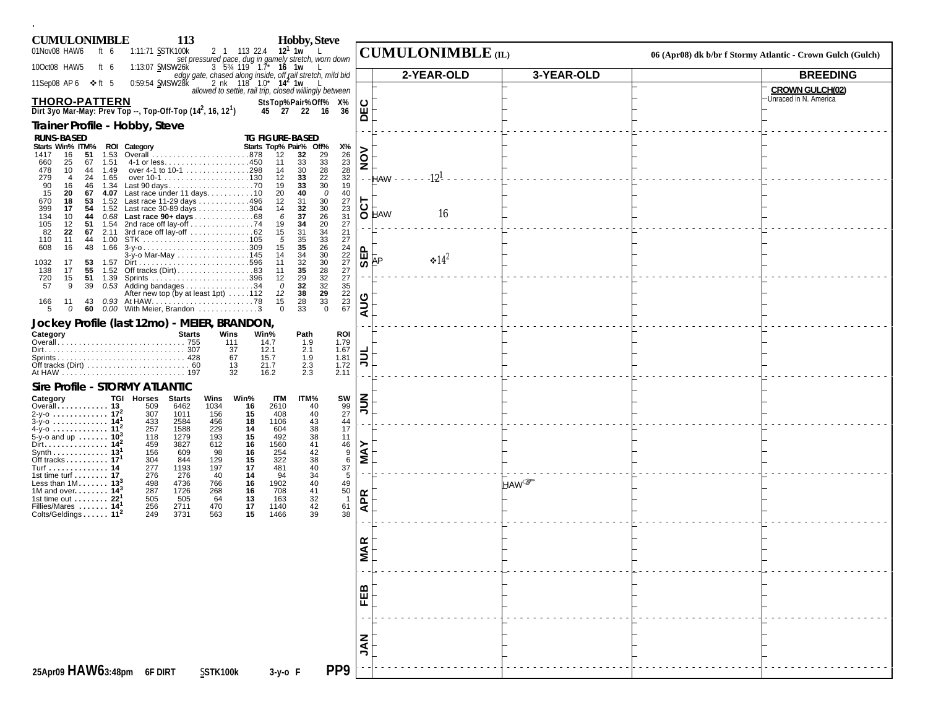| <b>CUMULONIMBLE</b>                                                                                         | 113                                                            |                            | <b>Hobby, Steve</b>                                                                                              |                |                          |                        |                                                            |
|-------------------------------------------------------------------------------------------------------------|----------------------------------------------------------------|----------------------------|------------------------------------------------------------------------------------------------------------------|----------------|--------------------------|------------------------|------------------------------------------------------------|
| 01Nov08 HAW6<br>ft 6                                                                                        | 1:11:71 SSTK100k                                               | 2 1 113 22.4               | $12^1$ 1w $\frac{1}{1}$<br>set pressured pace, dug in gamely stretch, worn down                                  |                | <b>CUMULONIMBLE</b> (IL) |                        | 06 (Apr08) dk b/br f Stormy Atlantic - Crown Gulch (Gulch) |
| 10Oct08 HAW5<br>ft $6$                                                                                      | 1:13:07 SMSW26K                                                | $3\,5\%$ 119 $1.7^*$ 16 1w | edgy gate, chased along inside, off rail stretch, mild bid<br>0:59:54 SMSW28k 2 nk 118 1.0* 14 <sup>2</sup> 1w L |                | 2-YEAR-OLD               | 3-YEAR-OLD             | <b>BREEDING</b>                                            |
| 11Sep08 AP6 ❖ft 5                                                                                           |                                                                |                            | allowed to settle, rail trip, closed willingly between                                                           |                |                          |                        | <b>CROWN GULCH(02)</b>                                     |
| <b>THORO-PATTERN</b><br>Dirt 3yo Mar-May: Prev Top --, Top-Off-Top (14 <sup>2</sup> , 16, 12 <sup>1</sup> ) |                                                                |                            | StsTop%Pair%Off% X%<br>45 27 22 16<br>36                                                                         | DEC            |                          |                        | Unraced in N. America                                      |
| Trainer Profile - Hobby, Steve                                                                              |                                                                |                            |                                                                                                                  |                |                          |                        |                                                            |
| <b>RUNS-BASED</b><br>Starts Win% ITM% ROI Category                                                          |                                                                |                            | <b>TG FIGURE-BASED</b><br>Starts Top% Pair% Off%<br>Х%                                                           |                |                          |                        |                                                            |
| 16<br>51<br>1.53<br>1417<br>660<br>25<br>67<br>1.51                                                         |                                                                |                            | 12<br>32<br>$\begin{array}{c} 29 \\ 33 \\ 28 \end{array}$<br>$\frac{26}{23}$<br>11                               | NON            |                          |                        |                                                            |
| 478<br>10<br>1.49<br>44<br>279<br>24<br>1.65<br>$\overline{4}$                                              | over 4-1 to 10-1 298                                           |                            | $\substack{33 \\ 30}$<br>14<br>$32\,$<br>12                                                                      |                | $-12^{1}$<br>$-$ - HAW   |                        |                                                            |
| 90<br>46<br>1.34<br>16<br>15<br>20<br>67                                                                    | Last 90 days70<br>4.07 Last race under 11 days. 10             |                            | $\frac{22}{30}$<br>$\frac{33}{33}$<br>19<br>19<br>40<br>0<br>40<br>20                                            |                |                          |                        |                                                            |
| 18<br>53<br>670<br>399<br>17<br>54                                                                          | 1.52 Last race 11-29 days 496<br>1.52 Last race 30-89 days 304 |                            | 27<br>$30\,$<br>12<br>31<br>23<br>32<br>30<br>14                                                                 | $\overline{5}$ |                          |                        |                                                            |
| 134<br>44<br>10<br>105<br>12<br>51<br>1.54                                                                  | 0.68 Last race 90+ days 68<br>2nd race off lay-off 74          |                            | $\frac{26}{20}$<br>31<br>37<br>6<br>34<br>27<br>19                                                               |                | 16<br>O HAW              |                        |                                                            |
| 82<br>22<br>67 2.11<br>110<br>11<br>44 1.00                                                                 | 3rd race off lay-off 62                                        |                            | 31<br>$\frac{34}{33}$<br>26<br>21<br>15<br>35<br>27<br>5                                                         |                |                          |                        |                                                            |
| 48<br>608<br>16                                                                                             | 1.66 $3-y$ -0309<br>3-y-o Mar-May 145                          |                            | 35<br>24<br>15<br>34<br>14                                                                                       | <b>SEP</b>     |                          |                        |                                                            |
| 17<br>53<br>1032<br>1.57<br>138<br>55<br>17                                                                 | 1.52 Off tracks (Dirt)83                                       |                            | $\frac{30}{30}$<br>28<br>$\frac{22}{27}$<br>$\frac{32}{35}$<br>11<br>11                                          |                | $\cdot 14^2$<br>AP       |                        |                                                            |
| 51 1.39<br>720<br>15<br>57<br>39<br>9                                                                       | $0.53$ Adding bandages 34                                      |                            | 29<br>$\frac{32}{32}$<br>$\frac{32}{33}$<br>27<br>12<br>32<br>$\Omega$                                           |                |                          |                        |                                                            |
| 166<br>11<br>43                                                                                             | After new top (by at least 1pt) 112                            |                            | $\frac{35}{22}$<br>$\frac{23}{67}$<br>38<br>12<br>28<br>15                                                       | AUG            |                          |                        |                                                            |
| -5<br>$\mathcal O$<br>60                                                                                    | 0.00 With Meier, Brandon 3                                     |                            | 33<br>$\mathbf 0$<br>$\Omega$                                                                                    |                |                          |                        |                                                            |
| Jockey Profile (last 12mo) - MEIER, BRANDON,<br>Category                                                    | <b>Starts</b>                                                  | Wins<br>Win%               | Path<br>ROI                                                                                                      |                |                          |                        |                                                            |
|                                                                                                             |                                                                | 111<br>37                  | 1.79<br>14.7<br>1.9<br>2.1<br>1.67<br>12.1                                                                       |                |                          |                        |                                                            |
|                                                                                                             |                                                                | 67<br>13                   | 1.81<br>15.7<br>1.9<br>2.3<br>1.72<br>21.7                                                                       | <b>TINC</b>    |                          |                        |                                                            |
|                                                                                                             |                                                                | 32                         | 2.3<br>2.11<br>16.2                                                                                              |                |                          |                        |                                                            |
| Sire Profile - STORMY ATLANTIC<br>Category                                                                  | <b>TGI Horses</b><br>Starts                                    | Win%<br>Wins               | <b>ITM</b><br>SW<br>ITM%                                                                                         |                |                          |                        |                                                            |
| Overall 13<br>2-y-0 $172$                                                                                   | 509<br>6462<br>307<br>1011                                     | 1034<br>16<br>156<br>15    | $\frac{99}{27}$<br>40<br>2610<br>408                                                                             | $\frac{2}{3}$  |                          |                        |                                                            |
| $3-y$ -0  14 <sup>1</sup><br>$4-y$ -0  11 <sup>2</sup>                                                      | 433<br>2584<br>257<br>1588                                     | 456<br>18<br>229<br>14     | $40$<br>$43$<br>$38$<br>$38$<br>$41$<br>$42$<br>$38$<br>1106<br>44<br>17<br>604                                  |                |                          |                        |                                                            |
| 5-y-o and up $10^{3}$<br>Dirt. 14 <sup>2</sup>                                                              | 118<br>1279<br>3827<br>459                                     | 193<br>15<br>612<br>16     | 11<br>492<br>1560                                                                                                |                |                          |                        |                                                            |
| Synth 13 <sup>1</sup><br>Off tracks $17$                                                                    | 156<br>609<br>304<br>844                                       | 16<br>98<br>129<br>15      | $\begin{array}{c} 46 \\ 9 \\ 6 \end{array}$<br>254<br>322                                                        | <b>NAY</b>     |                          |                        |                                                            |
| Turf 14<br>1st time turf $\dots \dots$ 17                                                                   | 277<br>1193<br>276<br>276                                      | 197<br>17<br>40<br>14      | $\frac{37}{5}$<br>481<br>94                                                                                      |                |                          |                        |                                                            |
| Less than $1M$ 13 <sup>3</sup><br>1M and over $143$                                                         | 498<br>4736<br>287<br>1726                                     | 766<br>16<br>268<br>16     | $40$<br>$34$<br>$40$<br>$41$<br>$32$<br>49<br>1902<br>$\frac{50}{1}$<br>708                                      |                |                          | <b>HAW</b> <sup></sup> |                                                            |
| 1st time out $\dots \dots$ 22 <sup>1</sup><br>Fillies/Mares  14 <sup>1</sup>                                | 505<br>505<br>256<br>2711                                      | 64<br>13<br>470<br>17      | 163<br>42<br>61<br>1140                                                                                          | <b>APR</b>     |                          |                        |                                                            |
| Colts/Geldings 11 <sup>2</sup>                                                                              | 249<br>3731                                                    | 15<br>563                  | 38<br>39<br>1466                                                                                                 |                |                          |                        |                                                            |
|                                                                                                             |                                                                |                            |                                                                                                                  |                |                          |                        |                                                            |
|                                                                                                             |                                                                |                            |                                                                                                                  | <b>MAR</b>     |                          |                        |                                                            |
|                                                                                                             |                                                                |                            |                                                                                                                  |                |                          |                        |                                                            |
|                                                                                                             |                                                                |                            |                                                                                                                  |                |                          |                        |                                                            |
|                                                                                                             |                                                                |                            |                                                                                                                  | FEB            |                          |                        |                                                            |
|                                                                                                             |                                                                |                            |                                                                                                                  |                |                          |                        |                                                            |
|                                                                                                             |                                                                |                            |                                                                                                                  |                |                          |                        |                                                            |
|                                                                                                             |                                                                |                            |                                                                                                                  | <b>NAL</b>     |                          |                        |                                                            |
|                                                                                                             |                                                                |                            | PP <sub>9</sub>                                                                                                  |                |                          |                        |                                                            |
| 25Apr09 HAW63:48pm 6F DIRT                                                                                  |                                                                | SSTK100k                   | $3-y$ -o F                                                                                                       |                |                          |                        |                                                            |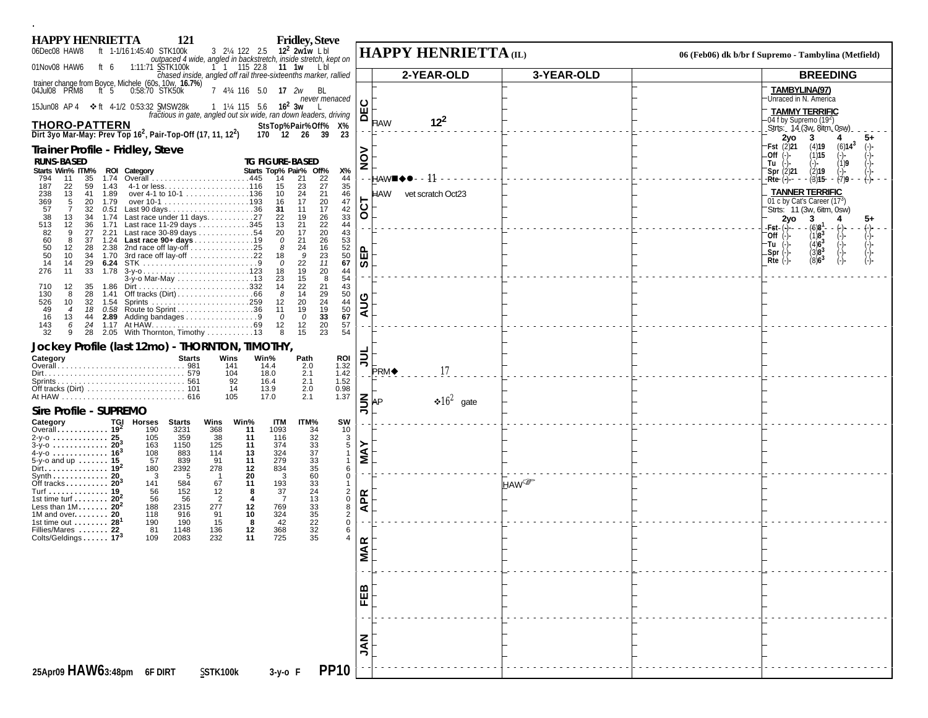| 121<br><b>HAPPY HENRIETTA</b>                                                                                              | <b>Fridley, Steve</b>                                                                                                                    |                |                                 |                                                                               |
|----------------------------------------------------------------------------------------------------------------------------|------------------------------------------------------------------------------------------------------------------------------------------|----------------|---------------------------------|-------------------------------------------------------------------------------|
| 06Dec08 HAW8<br>ft 1-1/16 1:45:40 STK100k                                                                                  | 3 21/4 122 2.5 12 <sup>2</sup> 2w1w Lbl<br>outpaced 4 wide, angled in backstretch, inside stretch, kept on                               |                | HAPPY HENRIETTA (IL)            | 06 (Feb06) dk b/br f Supremo - Tambylina (Metfield)                           |
| 01Nov08 HAW6<br>1:11:71 SSTK100k<br>ft 6                                                                                   | 1 1 115 22.8 11 1w Lbl                                                                                                                   |                |                                 | <b>BREEDING</b>                                                               |
| trainer change from Boyce, Michele (60s, 10w, 16.7%)<br>04Jul08 PRM8 ft 5 0:58:70 STK50k<br>04Jul08 PRM8                   | chased inside, angled off rail three-sixteenths marker, rallied<br>7 434 116 5.0 17 2w BL                                                |                | 2-YEAR-OLD<br>3-YEAR-OLD        | TAMBYLINA(97)                                                                 |
| 15Jun08 AP 4 $\div$ ft 4-1/2 0:53:32 SMSW28k                                                                               | never menaced<br>1 1/ <sub>4</sub> 115 5.6 <b>16<sup>2</sup> 3w</b><br>fractious in gate, angled out six wide, ran down leaders, driving | DEC            |                                 | Unraced in N. America<br><b>TAMMY TERRIFIC</b>                                |
| <b>THORO-PATTERN</b><br>Dirt 3yo Mar-May: Prev Top 16 <sup>2</sup> , Pair-Top-Off (17, 11, 12 <sup>2</sup> )               | StsTop%Pair%Off% X%<br>23<br>170 12 26 39                                                                                                |                | $12^{2}$<br>Haw                 | -04 f by Supremo (19 <sup>2</sup> )<br>Strts: 14 (3w, 8itm, 0sw).<br>2yo<br>3 |
| Trainer Profile - Fridley, Steve                                                                                           |                                                                                                                                          |                |                                 | Fst (2)21<br>(4)19<br>$(6)14^3$<br>(1)15<br>.Off<br>(−)−                      |
| <b>RUNS-BASED</b><br>Starts Win% ITM%<br>ROI Category                                                                      | <b>TG FIGURE-BASED</b><br>Starts Top% Pair% Off%<br>Х%                                                                                   | $\frac{5}{2}$  |                                 | 1)9<br>Tu<br>(2)19                                                            |
| 1.74<br>35<br>794<br>11<br>59<br>1.43                                                                                      | $\frac{22}{27}$<br>$\frac{44}{35}$<br>14<br>21<br>15                                                                                     |                | HAW■♦●- - 11                    | Spr $(2)$ 21<br>(3)15<br>-Rte (-) -<br>- <del>(</del> 7)9                     |
| 187<br>22<br>13<br>over 4-1 to 10-1 136<br>238<br>41<br>1.89                                                               | 23<br>10<br>24<br>21<br>46                                                                                                               |                | <b>HAW</b><br>vet scratch Oct23 | <b>TANNER TERRIFIC</b>                                                        |
| 369<br>20<br>1.79<br>5<br>57<br>$\overline{7}$<br>32<br>Last 90 days36<br>0.51                                             | 47<br>20<br>16<br>17<br>17<br>42<br>31<br>11                                                                                             | <b>T2O</b>     |                                 | 01 c by Cat's Career (17 <sup>3</sup> )<br>Strts: 11 (3w, 6itm, 0sw)          |
| Last race under 11 days. 27<br>38<br>34<br>13<br>1.74<br>513<br>36<br>Last race 11-29 days 345<br>12 <sup>2</sup><br>1.71  | 33<br>$\frac{26}{22}$<br>22<br>19<br>13<br>21<br>44                                                                                      |                |                                 | 2yo<br>3<br>-Fst- (-)-- -<br>(6)8 <sup>1</sup>                                |
| 2.21 Last race 30-89 days<br>1.24 Last race 90+ days19<br>82<br>9<br>27<br>60<br>8<br>37                                   | 20<br>43<br>20<br>17<br>26<br>21<br>53<br>$\mathcal O$                                                                                   |                |                                 | (-)<br>(-)<br>(-)-<br>$(1)8^{3}$<br>Off(.)<br>(4)6 <sup>3</sup><br>-Tu        |
| 50<br>2.38 2nd race off lay-off $\dots\dots\dots\dots 25$<br>12<br>28<br>50<br>3rd race off lay-off 22<br>34<br>1.70<br>10 | 16<br>8<br>24<br>52<br>$\frac{23}{11}$<br>$\frac{50}{67}$<br>18<br>9                                                                     | <b>SEP</b>     |                                 | $3)8^{3}$<br>.Spr (-)<br>$(8)6^3$<br>$Rte$ (-)-                               |
| 14<br>29<br>6.24<br>14<br>33<br>276<br>11<br>1.78                                                                          | 22<br>$\Omega$<br>$^{\rm 20}_{\rm 8}$<br>19<br>18<br>44                                                                                  |                |                                 |                                                                               |
| 3-y-o Mar-May 13<br>12 <sup>2</sup><br>35<br>710<br>1.86                                                                   | 23<br>15<br>54<br>22<br>21<br>43<br>14                                                                                                   |                |                                 |                                                                               |
| 130<br>28<br>8<br>1.41<br>526<br>10<br>32<br>1.54                                                                          | 14<br>$\begin{array}{c} 29 \\ 24 \end{array}$<br>50<br>44<br>50<br>-8<br>20<br>12                                                        | <b>AUG</b>     |                                 |                                                                               |
| 0.58 Route to Sprint 36<br>49<br>18<br>$\overline{4}$<br>16<br>2.89 Adding bandages 9<br>13<br>44                          | 19<br>19<br>11<br>33<br>67<br>$\Omega$<br>$\mathcal O$                                                                                   |                |                                 |                                                                               |
| 1.17 At HAW……………………………69<br>2.05 With Thornton, Timothy ……………13<br>143<br>24<br>6<br>32<br>9<br>28                         | 20<br>57<br>12<br>12<br>23<br>15<br>54<br>8                                                                                              |                |                                 |                                                                               |
| Jockey Profile (last 12mo) - THORNTON, TIMOTHY,                                                                            |                                                                                                                                          |                |                                 |                                                                               |
| Category<br><b>Starts</b>                                                                                                  | Wins<br>Win%<br>Path<br>ROI<br>1.32<br>14.4<br>2.0<br>141                                                                                | $\overline{5}$ |                                 |                                                                               |
|                                                                                                                            | 2.1<br>1.42<br>104<br>18.0<br>1.52<br>92<br>2.1<br>16.4                                                                                  |                | 17<br>PRM◆                      |                                                                               |
|                                                                                                                            | 0.98<br>14<br>2.0<br>13.9<br>1.37<br>105<br>17.0<br>2.1                                                                                  |                |                                 |                                                                               |
| Sire Profile - SUPREMO                                                                                                     |                                                                                                                                          | $\leq$         | $\div 16^2$ gate<br>AP          |                                                                               |
| Category<br><b>TGI Horses</b><br>Starts                                                                                    | <b>ITM</b><br>Wins<br>Win%<br>ITM%<br>sw                                                                                                 |                |                                 |                                                                               |
| Overall 19 <sup>2</sup><br>190<br>3231<br>2-y-o <b>25</b><br>105<br>359                                                    | 34<br>32<br>33<br>33<br>33<br>35<br>60<br>368<br>1093<br>10<br>11<br>$\frac{3}{5}$<br>38<br>116<br>11                                    |                |                                 |                                                                               |
| $3-y-0$ 20 <sup>3</sup><br>163<br>1150<br>4-y-0  16 <sup>3</sup><br>108<br>883                                             | 374<br>125<br>11<br>324<br>114<br>13<br>$\mathbf{1}$                                                                                     | NAY            |                                 |                                                                               |
| 57<br>839<br>5-y-o and up  15<br>Dirt 19 <sup>2</sup><br>2392<br>180                                                       | 11<br>279<br>91<br>834<br>278<br>12<br>$^6_0$                                                                                            |                |                                 |                                                                               |
| Synth 20<br>- 5<br>-3<br>Off tracks 20 <sup>3</sup><br>141<br>584                                                          | 3<br>20<br>$\overline{1}$<br>67<br>193<br>11<br>$\mathbf 1$                                                                              |                | <b>HAW</b> <sup></sup>          |                                                                               |
| 56<br>152<br>Turf 19<br>56<br>1st time turf $\dots \dots$ 20 <sup>2</sup><br>56                                            | 37<br>$\begin{array}{c} 2 \\ 0 \\ 8 \\ 2 \end{array}$<br>12<br>8<br>$\overline{7}$<br>$\overline{2}$<br>4                                | <b>APR</b>     |                                 |                                                                               |
| Less than $1M$ 20 <sup>2</sup><br>188<br>2315<br>1M and over 20<br>118<br>916                                              | 33<br>24<br>13<br>33<br>35<br>22<br>22<br>12<br>769<br>277<br>10<br>91<br>324                                                            |                |                                 |                                                                               |
| 1st time out $\dots \dots$ 28 <sup>1</sup><br>190<br>190<br>81<br>Fillies/Mares  22<br>1148                                | 42<br>0<br>15<br>8<br>6<br>368<br>12<br>136                                                                                              |                |                                 |                                                                               |
| Colts/Geldings 173<br>109<br>2083                                                                                          | 232<br>725<br>35<br>11<br>$\overline{4}$                                                                                                 | <b>MAR</b>     |                                 |                                                                               |
|                                                                                                                            |                                                                                                                                          |                |                                 |                                                                               |
|                                                                                                                            |                                                                                                                                          |                |                                 |                                                                               |
|                                                                                                                            |                                                                                                                                          | FEB            |                                 |                                                                               |
|                                                                                                                            |                                                                                                                                          |                |                                 |                                                                               |
|                                                                                                                            |                                                                                                                                          |                |                                 |                                                                               |
|                                                                                                                            |                                                                                                                                          |                |                                 |                                                                               |
|                                                                                                                            |                                                                                                                                          | $\leq$         |                                 |                                                                               |
| 25Apr09 HAW63:48pm 6F DIRT                                                                                                 | <b>PP10</b><br>SSTK100k<br>3-y-o F                                                                                                       |                |                                 |                                                                               |
|                                                                                                                            |                                                                                                                                          |                |                                 |                                                                               |